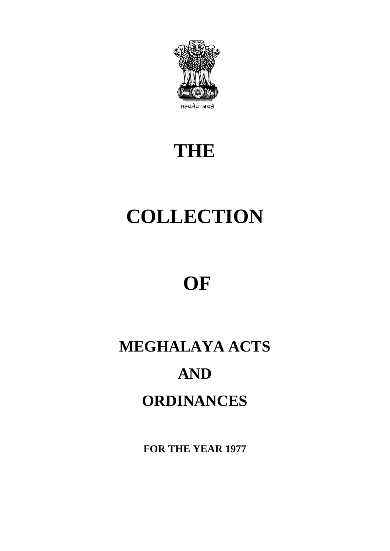

# **THE**

# **COLLECTION**

# **OF**

# **MEGHALAYA ACTS AND ORDINANCES**

**FOR THE YEAR 1977**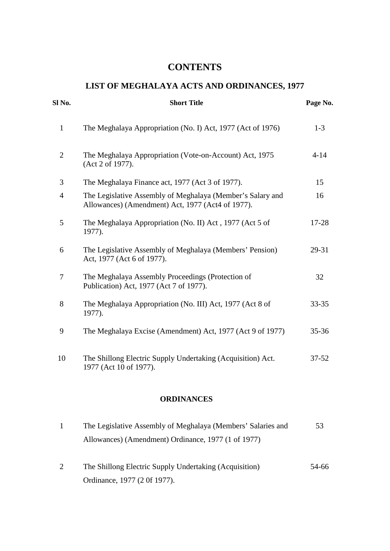# **CONTENTS**

# **LIST OF MEGHALAYA ACTS AND ORDINANCES, 1977**

| Sl No.         | <b>Short Title</b>                                                                                              | Page No.  |
|----------------|-----------------------------------------------------------------------------------------------------------------|-----------|
| $\mathbf{1}$   | The Meghalaya Appropriation (No. I) Act, 1977 (Act of 1976)                                                     | $1-3$     |
| $\overline{2}$ | The Meghalaya Appropriation (Vote-on-Account) Act, 1975<br>(Act 2 of 1977).                                     | $4 - 14$  |
| 3              | The Meghalaya Finance act, 1977 (Act 3 of 1977).                                                                | 15        |
| $\overline{4}$ | The Legislative Assembly of Meghalaya (Member's Salary and<br>Allowances) (Amendment) Act, 1977 (Act4 of 1977). | 16        |
| 5              | The Meghalaya Appropriation (No. II) Act, 1977 (Act 5 of<br>1977).                                              | 17-28     |
| 6              | The Legislative Assembly of Meghalaya (Members' Pension)<br>Act, 1977 (Act 6 of 1977).                          | 29-31     |
| $\overline{7}$ | The Meghalaya Assembly Proceedings (Protection of<br>Publication) Act, 1977 (Act 7 of 1977).                    | 32        |
| 8              | The Meghalaya Appropriation (No. III) Act, 1977 (Act 8 of<br>1977).                                             | 33-35     |
| 9              | The Meghalaya Excise (Amendment) Act, 1977 (Act 9 of 1977)                                                      | $35 - 36$ |
| 10             | The Shillong Electric Supply Undertaking (Acquisition) Act.<br>1977 (Act 10 of 1977).                           | $37 - 52$ |

# **ORDINANCES**

| The Legislative Assembly of Meghalaya (Members' Salaries and | 53    |  |
|--------------------------------------------------------------|-------|--|
| Allowances) (Amendment) Ordinance, 1977 (1 of 1977)          |       |  |
|                                                              |       |  |
| The Shillong Electric Supply Undertaking (Acquisition)       | 54-66 |  |

Ordinance, 1977 (2 0f 1977).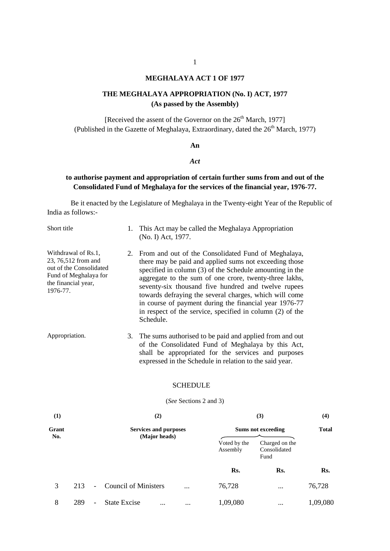#### **MEGHALAYA ACT 1 OF 1977**

#### **THE MEGHALAYA APPROPRIATION (No. I) ACT, 1977 (As passed by the Assembly)**

[Received the assent of the Governor on the  $26<sup>th</sup>$  March, 1977] (Published in the Gazette of Meghalaya, Extraordinary, dated the  $26<sup>th</sup>$  March, 1977)

#### **An**

#### *Act*

#### **to authorise payment and appropriation of certain further sums from and out of the Consolidated Fund of Meghalaya for the services of the financial year, 1976-77.**

Be it enacted by the Legislature of Meghalaya in the Twenty-eight Year of the Republic of India as follows:-

| Short title                                                                                                                       | 1. This Act may be called the Meghalaya Appropriation<br>(No. I) Act, 1977.                                                                                                                                                                                                                                                                                                                                                                                                                 |
|-----------------------------------------------------------------------------------------------------------------------------------|---------------------------------------------------------------------------------------------------------------------------------------------------------------------------------------------------------------------------------------------------------------------------------------------------------------------------------------------------------------------------------------------------------------------------------------------------------------------------------------------|
| Withdrawal of Rs.1,<br>23, 76,512 from and<br>out of the Consolidated<br>Fund of Meghalaya for<br>the financial year,<br>1976-77. | 2. From and out of the Consolidated Fund of Meghalaya,<br>there may be paid and applied sums not exceeding those<br>specified in column (3) of the Schedule amounting in the<br>aggregate to the sum of one crore, twenty-three lakhs,<br>seventy-six thousand five hundred and twelve rupees<br>towards defraying the several charges, which will come<br>in course of payment during the financial year 1976-77<br>in respect of the service, specified in column (2) of the<br>Schedule. |
| Appropriation.                                                                                                                    | 3. The sums authorised to be paid and applied from and out<br>of the Consolidated Fund of Meghalaya by this Act,<br>shall be appropriated for the services and purposes<br>expressed in the Schedule in relation to the said year.                                                                                                                                                                                                                                                          |
|                                                                                                                                   | <b>SCHEDULE</b>                                                                                                                                                                                                                                                                                                                                                                                                                                                                             |

#### (*See* Sections 2 and 3)

| (1)          |     |                          | (2)                                           |          |                           | (3)                                    | (4)      |  |
|--------------|-----|--------------------------|-----------------------------------------------|----------|---------------------------|----------------------------------------|----------|--|
| Grant<br>No. |     |                          | <b>Services and purposes</b><br>(Major heads) |          | <b>Sums not exceeding</b> | <b>Total</b>                           |          |  |
|              |     |                          |                                               |          | Voted by the<br>Assembly  | Charged on the<br>Consolidated<br>Fund |          |  |
|              |     |                          |                                               |          | Rs.                       | Rs.                                    | Rs.      |  |
| 3            | 213 | $\sim$                   | <b>Council of Ministers</b>                   | $\cdots$ | 76,728                    | $\cdots$                               | 76,728   |  |
| 8            | 289 | $\overline{\phantom{a}}$ | <b>State Excise</b><br>$\cdots$               | $\cdots$ | 1,09,080                  | $\cdots$                               | 1,09,080 |  |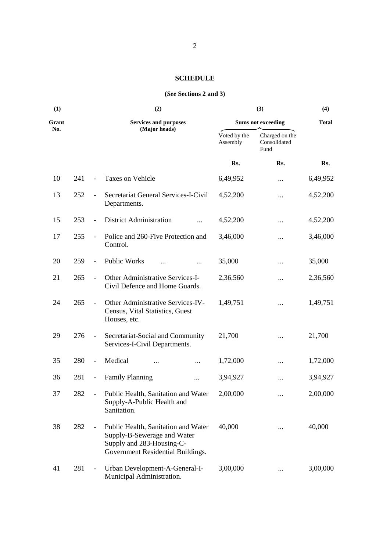# **SCHEDULE**

#### **(***See* **Sections 2 and 3)**

| (1)   | (2) |                              |                                                                                                                                      |                          | (3)                                    | (4)          |
|-------|-----|------------------------------|--------------------------------------------------------------------------------------------------------------------------------------|--------------------------|----------------------------------------|--------------|
| Grant |     |                              | <b>Services and purposes</b>                                                                                                         |                          | <b>Sums not exceeding</b>              | <b>Total</b> |
| No.   |     |                              | (Major heads)                                                                                                                        | Voted by the<br>Assembly | Charged on the<br>Consolidated<br>Fund |              |
|       |     |                              |                                                                                                                                      | Rs.                      | Rs.                                    | Rs.          |
| 10    | 241 | $\overline{a}$               | Taxes on Vehicle                                                                                                                     | 6,49,952                 |                                        | 6,49,952     |
| 13    | 252 | $\overline{\phantom{a}}$     | Secretariat General Services-I-Civil<br>Departments.                                                                                 | 4,52,200                 | $\cdots$                               | 4,52,200     |
| 15    | 253 | $\overline{\phantom{m}}$     | <b>District Administration</b><br>$\ddotsc$                                                                                          | 4,52,200                 |                                        | 4,52,200     |
| 17    | 255 | $\overline{\phantom{a}}$     | Police and 260-Five Protection and<br>Control.                                                                                       | 3,46,000                 |                                        | 3,46,000     |
| 20    | 259 | $\blacksquare$               | <b>Public Works</b><br>                                                                                                              | 35,000                   |                                        | 35,000       |
| 21    | 265 | $\overline{\phantom{a}}$     | Other Administrative Services-I-<br>Civil Defence and Home Guards.                                                                   | 2,36,560                 | $\cdots$                               | 2,36,560     |
| 24    | 265 | $\overline{\phantom{a}}$     | Other Administrative Services-IV-<br>Census, Vital Statistics, Guest<br>Houses, etc.                                                 | 1,49,751                 | $\cdots$                               | 1,49,751     |
| 29    | 276 | $\blacksquare$               | Secretariat-Social and Community<br>Services-I-Civil Departments.                                                                    | 21,700                   |                                        | 21,700       |
| 35    | 280 | $\overline{\phantom{a}}$     | Medical<br>                                                                                                                          | 1,72,000                 | $\cdots$                               | 1,72,000     |
| 36    | 281 | $\qquad \qquad \blacksquare$ | <b>Family Planning</b><br>$\cdots$                                                                                                   | 3,94,927                 |                                        | 3,94,927     |
| 37    | 282 | $\overline{\phantom{a}}$     | Public Health, Sanitation and Water<br>Supply-A-Public Health and<br>Sanitation.                                                     | 2,00,000                 | $\cdots$                               | 2,00,000     |
| 38    | 282 | $\qquad \qquad \blacksquare$ | Public Health, Sanitation and Water<br>Supply-B-Sewerage and Water<br>Supply and 283-Housing-C-<br>Government Residential Buildings. | 40,000                   |                                        | 40,000       |
| 41    | 281 | $\frac{1}{2}$                | Urban Development-A-General-I-<br>Municipal Administration.                                                                          | 3,00,000                 |                                        | 3,00,000     |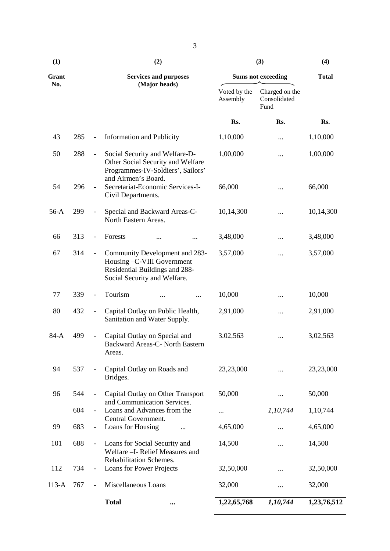| (1)     |     |                              | (2)                                                                                                                             | (3)                      | (4)                                    |              |
|---------|-----|------------------------------|---------------------------------------------------------------------------------------------------------------------------------|--------------------------|----------------------------------------|--------------|
| Grant   |     |                              | <b>Services and purposes</b>                                                                                                    |                          | <b>Sums not exceeding</b>              | <b>Total</b> |
| No.     |     |                              | (Major heads)                                                                                                                   | Voted by the<br>Assembly | Charged on the<br>Consolidated<br>Fund |              |
|         |     |                              |                                                                                                                                 | Rs.                      | Rs.                                    | Rs.          |
| 43      | 285 | $\frac{1}{2}$                | <b>Information and Publicity</b>                                                                                                | 1,10,000                 |                                        | 1,10,000     |
| 50      | 288 | $\qquad \qquad \blacksquare$ | Social Security and Welfare-D-<br>Other Social Security and Welfare<br>Programmes-IV-Soldiers', Sailors'<br>and Airmen's Board. | 1,00,000                 |                                        | 1,00,000     |
| 54      | 296 | $\overline{\phantom{a}}$     | Secretariat-Economic Services-I-<br>Civil Departments.                                                                          | 66,000                   |                                        | 66,000       |
| $56-A$  | 299 |                              | Special and Backward Areas-C-<br>North Eastern Areas.                                                                           | 10,14,300                |                                        | 10,14,300    |
| 66      | 313 | $\overline{\phantom{a}}$     | Forests<br>                                                                                                                     | 3,48,000                 | $\cdots$                               | 3,48,000     |
| 67      | 314 | $\overline{\phantom{a}}$     | Community Development and 283-<br>Housing -C-VIII Government<br>Residential Buildings and 288-<br>Social Security and Welfare.  | 3,57,000                 |                                        | 3,57,000     |
| 77      | 339 | $\qquad \qquad \blacksquare$ | Tourism                                                                                                                         | 10,000                   |                                        | 10,000       |
| 80      | 432 | $\qquad \qquad -$            | Capital Outlay on Public Health,<br>Sanitation and Water Supply.                                                                | 2,91,000                 |                                        | 2,91,000     |
| $84-A$  | 499 | $\qquad \qquad -$            | Capital Outlay on Special and<br>Backward Areas-C- North Eastern<br>Areas.                                                      | 3.02,563                 | .                                      | 3,02,563     |
| 94      | 537 |                              | Capital Outlay on Roads and<br>Bridges.                                                                                         | 23,23,000                |                                        | 23,23,000    |
| 96      | 544 |                              | Capital Outlay on Other Transport                                                                                               | 50,000                   |                                        | 50,000       |
|         | 604 |                              | and Communication Services.<br>Loans and Advances from the                                                                      |                          | 1,10,744                               | 1,10,744     |
| 99      | 683 | $\overline{\phantom{a}}$     | Central Government.<br>Loans for Housing                                                                                        | 4,65,000                 |                                        | 4,65,000     |
| 101     | 688 | $\overline{\phantom{a}}$     | Loans for Social Security and<br>Welfare - I- Relief Measures and                                                               | 14,500                   | $\cdots$                               | 14,500       |
| 112     | 734 | $\overline{\phantom{a}}$     | Rehabilitation Schemes.<br>Loans for Power Projects                                                                             | 32,50,000                |                                        | 32,50,000    |
| $113-A$ | 767 | $\overline{\phantom{a}}$     | Miscellaneous Loans                                                                                                             | 32,000                   |                                        | 32,000       |
|         |     |                              | <b>Total</b>                                                                                                                    | 1,22,65,768              | 1,10,744                               | 1,23,76,512  |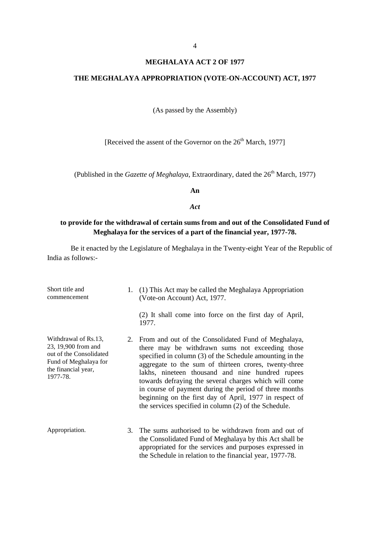#### **MEGHALAYA ACT 2 OF 1977**

#### **THE MEGHALAYA APPROPRIATION (VOTE-ON-ACCOUNT) ACT, 1977**

(As passed by the Assembly)

[Received the assent of the Governor on the  $26<sup>th</sup>$  March, 1977]

(Published in the *Gazette of Meghalaya*, Extraordinary, dated the 26<sup>th</sup> March, 1977)

**An**

*Act*

#### **to provide for the withdrawal of certain sums from and out of the Consolidated Fund of Meghalaya for the services of a part of the financial year, 1977-78.**

| Short title and<br>commencement                                                                                                    | 1. | (1) This Act may be called the Meghalaya Appropriation<br>(Vote-on Account) Act, 1977.<br>(2) It shall come into force on the first day of April,<br>1977.                                                                                                                                                                                                                                                                                                                                                                |
|------------------------------------------------------------------------------------------------------------------------------------|----|---------------------------------------------------------------------------------------------------------------------------------------------------------------------------------------------------------------------------------------------------------------------------------------------------------------------------------------------------------------------------------------------------------------------------------------------------------------------------------------------------------------------------|
| Withdrawal of Rs.13,<br>23, 19,900 from and<br>out of the Consolidated<br>Fund of Meghalaya for<br>the financial year,<br>1977-78. |    | 2. From and out of the Consolidated Fund of Meghalaya,<br>there may be withdrawn sums not exceeding those<br>specified in column (3) of the Schedule amounting in the<br>aggregate to the sum of thirteen crores, twenty-three<br>lakhs, nineteen thousand and nine hundred rupees<br>towards defraying the several charges which will come<br>in course of payment during the period of three months<br>beginning on the first day of April, 1977 in respect of<br>the services specified in column (2) of the Schedule. |
| Appropriation.                                                                                                                     | 3. | The sums authorised to be withdrawn from and out of<br>the Consolidated Fund of Meghalaya by this Act shall be<br>appropriated for the services and purposes expressed in<br>the Schedule in relation to the financial year, 1977-78.                                                                                                                                                                                                                                                                                     |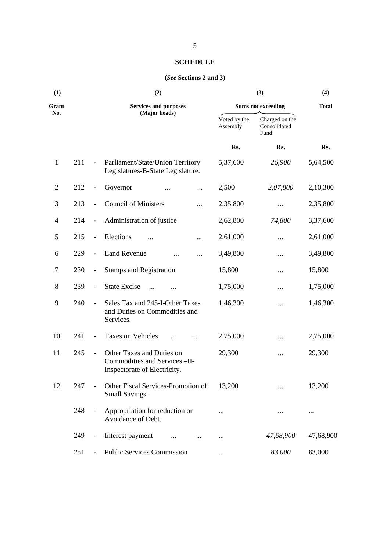#### **SCHEDULE**

#### **(***See* **Sections 2 and 3)**

| (1)            |     | (2)                          |                                                                                             |                           | (4)                                    |           |
|----------------|-----|------------------------------|---------------------------------------------------------------------------------------------|---------------------------|----------------------------------------|-----------|
| Grant          |     | <b>Services and purposes</b> |                                                                                             | <b>Sums not exceeding</b> | <b>Total</b>                           |           |
| No.            |     |                              | (Major heads)                                                                               | Voted by the<br>Assembly  | Charged on the<br>Consolidated<br>Fund |           |
|                |     |                              |                                                                                             | Rs.                       | Rs.                                    | Rs.       |
| $\mathbf{1}$   | 211 | $\overline{\phantom{a}}$     | Parliament/State/Union Territory<br>Legislatures-B-State Legislature.                       | 5,37,600                  | 26,900                                 | 5,64,500  |
| $\overline{2}$ | 212 | $\blacksquare$               | Governor<br>$\cdots$                                                                        | 2,500                     | 2,07,800                               | 2,10,300  |
| 3              | 213 | $\blacksquare$               | <b>Council of Ministers</b><br>                                                             | 2,35,800                  | $\cdots$                               | 2,35,800  |
| $\overline{4}$ | 214 | $\overline{\phantom{a}}$     | Administration of justice                                                                   | 2,62,800                  | 74,800                                 | 3,37,600  |
| $\mathfrak{S}$ | 215 | $\blacksquare$               | Elections<br>$\cdots$                                                                       | 2,61,000                  | $\cdots$                               | 2,61,000  |
| 6              | 229 | $\overline{\phantom{a}}$     | <b>Land Revenue</b><br>$\cdots$<br>                                                         | 3,49,800                  | $\cdots$                               | 3,49,800  |
| $\tau$         | 230 | $\overline{\phantom{a}}$     | <b>Stamps and Registration</b>                                                              | 15,800                    | $\cdots$                               | 15,800    |
| 8              | 239 | $\blacksquare$               | <b>State Excise</b><br>$\dddotsc$<br>$\cdots$                                               | 1,75,000                  | $\cdots$                               | 1,75,000  |
| 9              | 240 | $\overline{\phantom{a}}$     | Sales Tax and 245-I-Other Taxes<br>and Duties on Commodities and<br>Services.               | 1,46,300                  | $\cdots$                               | 1,46,300  |
| 10             | 241 | $\overline{\phantom{a}}$     | Taxes on Vehicles<br>$\cdots$                                                               | 2,75,000                  | $\cdots$                               | 2,75,000  |
| 11             | 245 | $\blacksquare$               | Other Taxes and Duties on<br>Commodities and Services - II-<br>Inspectorate of Electricity. | 29,300                    | $\cdots$                               | 29,300    |
| 12             | 247 | $\blacksquare$               | Other Fiscal Services-Promotion of<br>Small Savings.                                        | 13,200                    |                                        | 13,200    |
|                | 248 | $\overline{\phantom{a}}$     | Appropriation for reduction or<br>Avoidance of Debt.                                        |                           |                                        | $\cdots$  |
|                | 249 | $\overline{\phantom{a}}$     | Interest payment                                                                            | $\cdots$                  | 47,68,900                              | 47,68,900 |
|                | 251 |                              | <b>Public Services Commission</b>                                                           |                           | 83,000                                 | 83,000    |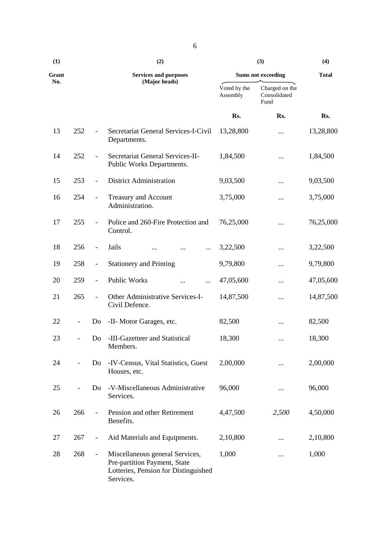| (1)   |     |                          | (2)                                                                                                                  |                          | (3)                                    | (4)<br><b>Total</b> |
|-------|-----|--------------------------|----------------------------------------------------------------------------------------------------------------------|--------------------------|----------------------------------------|---------------------|
| Grant |     |                          | <b>Services and purposes</b>                                                                                         |                          | <b>Sums not exceeding</b>              |                     |
| No.   |     |                          | (Major heads)                                                                                                        | Voted by the<br>Assembly | Charged on the<br>Consolidated<br>Fund |                     |
|       |     |                          |                                                                                                                      | Rs.                      | Rs.                                    | Rs.                 |
| 13    | 252 |                          | Secretariat General Services-I-Civil<br>Departments.                                                                 | 13,28,800                | .                                      | 13,28,800           |
| 14    | 252 |                          | Secretariat General Services-II-<br>Public Works Departments.                                                        | 1,84,500                 |                                        | 1,84,500            |
| 15    | 253 | $\overline{\phantom{a}}$ | <b>District Administration</b>                                                                                       | 9,03,500                 |                                        | 9,03,500            |
| 16    | 254 | $\overline{\phantom{a}}$ | Treasury and Account<br>Administration.                                                                              | 3,75,000                 |                                        | 3,75,000            |
| 17    | 255 |                          | Police and 260-Fire Protection and<br>Control.                                                                       | 76,25,000                |                                        | 76,25,000           |
| 18    | 256 | $\blacksquare$           | Jails<br>$\cdots$                                                                                                    | 3,22,500                 |                                        | 3,22,500            |
| 19    | 258 | $\overline{\phantom{a}}$ | <b>Stationery and Printing</b>                                                                                       | 9,79,800                 |                                        | 9,79,800            |
| 20    | 259 | $\overline{\phantom{a}}$ | Public Works<br>                                                                                                     | 47,05,600                |                                        | 47,05,600           |
| 21    | 265 | $\overline{\phantom{0}}$ | Other Administrative Services-I-<br>Civil Defence.                                                                   | 14,87,500                |                                        | 14,87,500           |
| 22    |     | Do                       | -II- Motor Garages, etc.                                                                                             | 82,500                   |                                        | 82,500              |
| 23    |     | Do                       | -III-Gazetteer and Statistical<br>Members.                                                                           | 18,300                   |                                        | 18,300              |
| 24    |     | Do                       | -IV-Census, Vital Statistics, Guest<br>Houses, etc.                                                                  | 2,00,000                 |                                        | 2,00,000            |
| 25    |     | D <sub>o</sub>           | -V-Miscellaneous Administrative<br>Services.                                                                         | 96,000                   |                                        | 96,000              |
| 26    | 266 |                          | Pension and other Retirement<br>Benefits.                                                                            | 4,47,500                 | 2,500                                  | 4,50,000            |
| 27    | 267 | $\overline{\phantom{0}}$ | Aid Materials and Equipments.                                                                                        | 2,10,800                 | .                                      | 2,10,800            |
| 28    | 268 |                          | Miscellaneous general Services,<br>Pre-partition Payment, State<br>Lotteries, Pension for Distinguished<br>Services. | 1,000                    |                                        | 1,000               |

6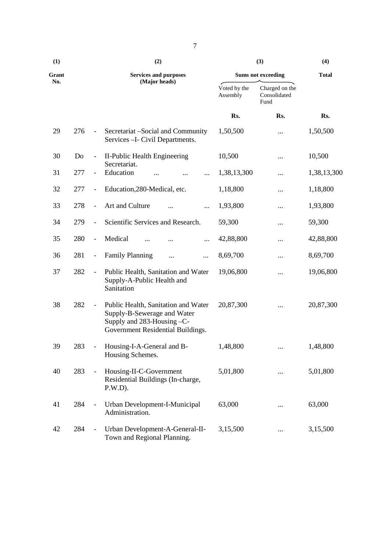| (1)   | (2) |                              |                                                                                                                                       |                          | (3)                                    | (4)          |
|-------|-----|------------------------------|---------------------------------------------------------------------------------------------------------------------------------------|--------------------------|----------------------------------------|--------------|
| Grant |     |                              | <b>Services and purposes</b>                                                                                                          |                          | <b>Sums not exceeding</b>              | <b>Total</b> |
| No.   |     |                              | (Major heads)                                                                                                                         | Voted by the<br>Assembly | Charged on the<br>Consolidated<br>Fund |              |
|       |     |                              |                                                                                                                                       | Rs.                      | Rs.                                    | Rs.          |
| 29    | 276 | $\blacksquare$               | Secretariat – Social and Community<br>Services - I- Civil Departments.                                                                | 1,50,500                 |                                        | 1,50,500     |
| 30    | Do  | $\qquad \qquad \blacksquare$ | II-Public Health Engineering<br>Secretariat.                                                                                          | 10,500                   |                                        | 10,500       |
| 31    | 277 | $\overline{\phantom{a}}$     | Education<br>                                                                                                                         | 1,38,13,300              |                                        | 1,38,13,300  |
| 32    | 277 | $\overline{\phantom{a}}$     | Education, 280-Medical, etc.                                                                                                          | 1,18,800                 |                                        | 1,18,800     |
| 33    | 278 | $\overline{\phantom{a}}$     | Art and Culture<br>.                                                                                                                  | 1,93,800                 |                                        | 1,93,800     |
| 34    | 279 | $\qquad \qquad \blacksquare$ | Scientific Services and Research.                                                                                                     | 59,300                   |                                        | 59,300       |
| 35    | 280 | $\qquad \qquad -$            | Medical<br>$\cdots$<br>                                                                                                               | 42,88,800                |                                        | 42,88,800    |
| 36    | 281 | $\overline{\phantom{a}}$     | <b>Family Planning</b><br><br>                                                                                                        | 8,69,700                 |                                        | 8,69,700     |
| 37    | 282 | $\overline{\phantom{a}}$     | Public Health, Sanitation and Water<br>Supply-A-Public Health and<br>Sanitation                                                       | 19,06,800                |                                        | 19,06,800    |
| 38    | 282 | $\overline{\phantom{a}}$     | Public Health, Sanitation and Water<br>Supply-B-Sewerage and Water<br>Supply and 283-Housing -C-<br>Government Residential Buildings. | 20,87,300                |                                        | 20,87,300    |
| 39    | 283 | $\sim$                       | Housing-I-A-General and B-<br>Housing Schemes.                                                                                        | 1,48,800                 |                                        | 1,48,800     |
| 40    | 283 |                              | Housing-II-C-Government<br>Residential Buildings (In-charge,<br>$P.W.D$ ).                                                            | 5,01,800                 |                                        | 5,01,800     |
| 41    | 284 | $\qquad \qquad \blacksquare$ | Urban Development-I-Municipal<br>Administration.                                                                                      | 63,000                   |                                        | 63,000       |
| 42    | 284 | $\overline{\phantom{a}}$     | Urban Development-A-General-II-<br>Town and Regional Planning.                                                                        | 3,15,500                 |                                        | 3,15,500     |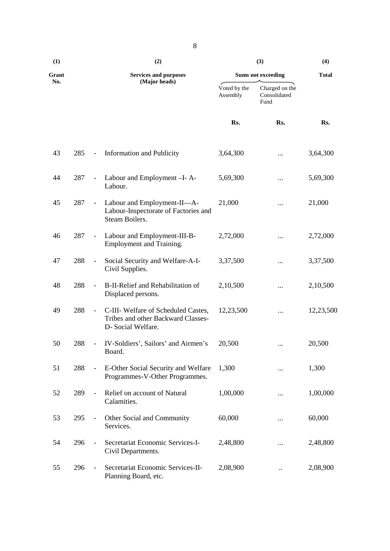| (1)   |     | (2)                      |                                                                                                 |                          | (3)                                    | (4)          |
|-------|-----|--------------------------|-------------------------------------------------------------------------------------------------|--------------------------|----------------------------------------|--------------|
| Grant |     |                          | <b>Services and purposes</b>                                                                    |                          | <b>Sums not exceeding</b>              | <b>Total</b> |
| No.   |     |                          | (Major heads)                                                                                   | Voted by the<br>Assembly | Charged on the<br>Consolidated<br>Fund |              |
|       |     |                          |                                                                                                 | Rs.                      | Rs.                                    | Rs.          |
| 43    | 285 | $\overline{\phantom{a}}$ | <b>Information and Publicity</b>                                                                | 3,64,300                 |                                        | 3,64,300     |
| 44    | 287 | $\overline{\phantom{a}}$ | Labour and Employment -I-A-<br>Labour.                                                          | 5,69,300                 |                                        | 5,69,300     |
| 45    | 287 | $\blacksquare$           | Labour and Employment-II-A-<br>Labour-Inspectorate of Factories and<br>Steam Boilers.           | 21,000                   | $\cdots$                               | 21,000       |
| 46    | 287 | $\overline{\phantom{a}}$ | Labour and Employment-III-B-<br>Employment and Training.                                        | 2,72,000                 | .                                      | 2,72,000     |
| 47    | 288 | $\overline{\phantom{a}}$ | Social Security and Welfare-A-I-<br>Civil Supplies.                                             | 3,37,500                 | $\cdots$                               | 3,37,500     |
| 48    | 288 | $\overline{\phantom{a}}$ | B-II-Relief and Rehabilitation of<br>Displaced persons.                                         | 2,10,500                 | $\cdots$                               | 2,10,500     |
| 49    | 288 | $\overline{\phantom{a}}$ | C-III- Welfare of Scheduled Castes,<br>Tribes and other Backward Classes-<br>D- Social Welfare. | 12,23,500                | $\cdots$                               | 12,23,500    |
| 50    | 288 | $\overline{\phantom{a}}$ | IV-Soldiers', Sailors' and Airmen's<br>Board.                                                   | 20,500                   | $\cdots$                               | 20,500       |
| 51    | 288 | $\overline{\phantom{a}}$ | E-Other Social Security and Welfare<br>Programmes-V-Other Programmes.                           | 1,300                    |                                        | 1,300        |
| 52    | 289 | $\blacksquare$           | Relief on account of Natural<br>Calamities.                                                     | 1,00,000                 | .                                      | 1,00,000     |
| 53    | 295 |                          | Other Social and Community<br>Services.                                                         | 60,000                   |                                        | 60,000       |
| 54    | 296 | $\overline{\phantom{a}}$ | Secretariat Economic Services-I-<br>Civil Departments.                                          | 2,48,800                 |                                        | 2,48,800     |
| 55    | 296 |                          | Secretariat Economic Services-II-<br>Planning Board, etc.                                       | 2,08,900                 | $\ddot{\phantom{0}}$                   | 2,08,900     |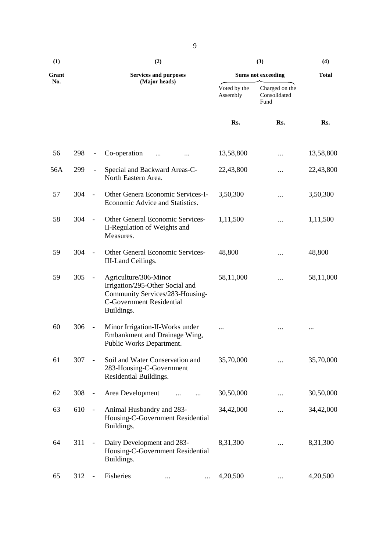| (1)   |     |                              | (2)                                                                                                                                          |                          | (3)                                    | (4)<br><b>Total</b> |
|-------|-----|------------------------------|----------------------------------------------------------------------------------------------------------------------------------------------|--------------------------|----------------------------------------|---------------------|
| Grant |     |                              | <b>Services and purposes</b>                                                                                                                 |                          | <b>Sums not exceeding</b>              |                     |
| No.   |     |                              | (Major heads)                                                                                                                                | Voted by the<br>Assembly | Charged on the<br>Consolidated<br>Fund |                     |
|       |     |                              |                                                                                                                                              | Rs.                      | Rs.                                    | Rs.                 |
| 56    | 298 | $\qquad \qquad \blacksquare$ | Co-operation                                                                                                                                 | 13,58,800                |                                        | 13,58,800           |
| 56A   | 299 | $\overline{\phantom{a}}$     | Special and Backward Areas-C-<br>North Eastern Area.                                                                                         | 22,43,800                |                                        | 22,43,800           |
| 57    | 304 | $\blacksquare$               | Other Genera Economic Services-I-<br>Economic Advice and Statistics.                                                                         | 3,50,300                 |                                        | 3,50,300            |
| 58    | 304 | $\overline{\phantom{a}}$     | Other General Economic Services-<br>II-Regulation of Weights and<br>Measures.                                                                | 1,11,500                 |                                        | 1,11,500            |
| 59    | 304 | $\blacksquare$               | Other General Economic Services-<br>III-Land Ceilings.                                                                                       | 48,800                   |                                        | 48,800              |
| 59    | 305 | $\overline{\phantom{a}}$     | Agriculture/306-Minor<br>Irrigation/295-Other Social and<br>Community Services/283-Housing-<br><b>C-Government Residential</b><br>Buildings. | 58,11,000                |                                        | 58,11,000           |
| 60    | 306 | $\overline{\phantom{a}}$     | Minor Irrigation-II-Works under<br>Embankment and Drainage Wing,<br>Public Works Department.                                                 |                          | $\cdots$                               | $\cdots$            |
| 61    | 307 | $\overline{\phantom{a}}$     | Soil and Water Conservation and<br>283-Housing-C-Government<br>Residential Buildings.                                                        | 35,70,000                |                                        | 35,70,000           |
| 62    | 308 |                              | Area Development                                                                                                                             | 30,50,000                |                                        | 30,50,000           |
| 63    | 610 | $\blacksquare$               | Animal Husbandry and 283-<br>Housing-C-Government Residential<br>Buildings.                                                                  | 34,42,000                |                                        | 34,42,000           |
| 64    | 311 | $\overline{\phantom{a}}$     | Dairy Development and 283-<br>Housing-C-Government Residential<br>Buildings.                                                                 | 8,31,300                 |                                        | 8,31,300            |
| 65    | 312 |                              | Fisheries<br><br>$\cdots$                                                                                                                    | 4,20,500                 | $\ldots$                               | 4,20,500            |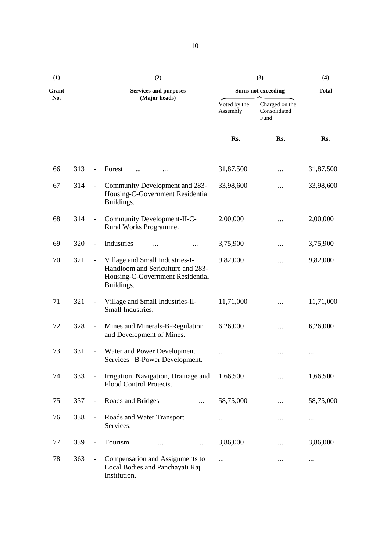| (1)   |     |                          | (2)                                                                                                                    |                          | (3)                                    | (4)          |
|-------|-----|--------------------------|------------------------------------------------------------------------------------------------------------------------|--------------------------|----------------------------------------|--------------|
| Grant |     |                          | <b>Services and purposes</b>                                                                                           |                          | <b>Sums not exceeding</b>              | <b>Total</b> |
| No.   |     |                          | (Major heads)                                                                                                          | Voted by the<br>Assembly | Charged on the<br>Consolidated<br>Fund |              |
|       |     |                          |                                                                                                                        | Rs.                      | Rs.                                    | Rs.          |
| 66    | 313 | $\overline{\phantom{a}}$ | Forest                                                                                                                 | 31,87,500                |                                        | 31,87,500    |
| 67    | 314 | $\overline{\phantom{a}}$ | Community Development and 283-<br>Housing-C-Government Residential<br>Buildings.                                       | 33,98,600                | $\cdots$                               | 33,98,600    |
| 68    | 314 | $\blacksquare$           | Community Development-II-C-<br>Rural Works Programme.                                                                  | 2,00,000                 |                                        | 2,00,000     |
| 69    | 320 | $\blacksquare$           | Industries                                                                                                             | 3,75,900                 |                                        | 3,75,900     |
| 70    | 321 | $\blacksquare$           | Village and Small Industries-I-<br>Handloom and Sericulture and 283-<br>Housing-C-Government Residential<br>Buildings. | 9,82,000                 | $\cdots$                               | 9,82,000     |
| 71    | 321 | $\overline{\phantom{a}}$ | Village and Small Industries-II-<br>Small Industries.                                                                  | 11,71,000                |                                        | 11,71,000    |
| 72    | 328 | $\blacksquare$           | Mines and Minerals-B-Regulation<br>and Development of Mines.                                                           | 6,26,000                 |                                        | 6,26,000     |
| 73    | 331 | $\overline{\phantom{a}}$ | Water and Power Development<br>Services -B-Power Development.                                                          | $\cdots$                 |                                        |              |
| 74    | 333 |                          | Irrigation, Navigation, Drainage and<br>Flood Control Projects.                                                        | 1,66,500                 |                                        | 1,66,500     |
| 75    | 337 | $\qquad \qquad -$        | Roads and Bridges<br>$\cdots$                                                                                          | 58,75,000                |                                        | 58,75,000    |
| 76    | 338 | $\overline{\phantom{a}}$ | Roads and Water Transport<br>Services.                                                                                 | $\cdots$                 |                                        | $\cdots$     |
| 77    | 339 |                          | Tourism<br>$\cdots$                                                                                                    | 3,86,000                 |                                        | 3,86,000     |
| 78    | 363 | $\overline{\phantom{a}}$ | Compensation and Assignments to<br>Local Bodies and Panchayati Raj<br>Institution.                                     | $\cdots$                 |                                        | $\cdots$     |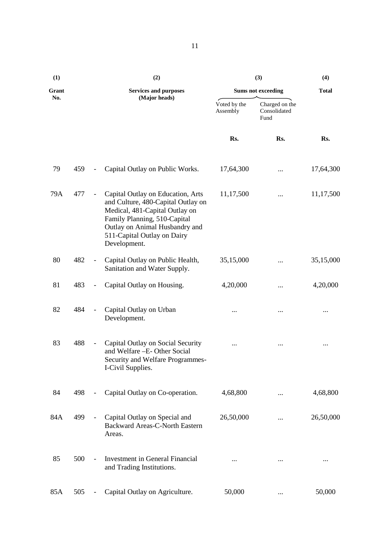| (1)   |     |                          | (2)                                                                                                                                                                                                                        |                          | (3)                                    | (4)          |  |
|-------|-----|--------------------------|----------------------------------------------------------------------------------------------------------------------------------------------------------------------------------------------------------------------------|--------------------------|----------------------------------------|--------------|--|
| Grant |     |                          | <b>Services and purposes</b>                                                                                                                                                                                               |                          | <b>Sums not exceeding</b>              | <b>Total</b> |  |
| No.   |     |                          | (Major heads)                                                                                                                                                                                                              | Voted by the<br>Assembly | Charged on the<br>Consolidated<br>Fund |              |  |
|       |     |                          |                                                                                                                                                                                                                            | Rs.                      | Rs.                                    | Rs.          |  |
| 79    | 459 | $\overline{\phantom{a}}$ | Capital Outlay on Public Works.                                                                                                                                                                                            | 17,64,300                |                                        | 17,64,300    |  |
| 79A   | 477 |                          | Capital Outlay on Education, Arts<br>and Culture, 480-Capital Outlay on<br>Medical, 481-Capital Outlay on<br>Family Planning, 510-Capital<br>Outlay on Animal Husbandry and<br>511-Capital Outlay on Dairy<br>Development. | 11,17,500                |                                        | 11,17,500    |  |
| 80    | 482 |                          | Capital Outlay on Public Health,<br>Sanitation and Water Supply.                                                                                                                                                           | 35,15,000                |                                        | 35,15,000    |  |
| 81    | 483 |                          | Capital Outlay on Housing.                                                                                                                                                                                                 | 4,20,000                 | $\cdots$                               | 4,20,000     |  |
| 82    | 484 | $\overline{\phantom{a}}$ | Capital Outlay on Urban<br>Development.                                                                                                                                                                                    | $\cdots$                 | $\cdots$                               |              |  |
| 83    | 488 |                          | Capital Outlay on Social Security<br>and Welfare -E- Other Social<br>Security and Welfare Programmes-<br>I-Civil Supplies.                                                                                                 | $\cdots$                 | $\cdots$                               | $\cdots$     |  |
| 84    | 498 |                          | Capital Outlay on Co-operation.                                                                                                                                                                                            | 4,68,800                 |                                        | 4,68,800     |  |
| 84A   | 499 |                          | Capital Outlay on Special and<br><b>Backward Areas-C-North Eastern</b><br>Areas.                                                                                                                                           | 26,50,000                |                                        | 26,50,000    |  |
| 85    | 500 |                          | Investment in General Financial<br>and Trading Institutions.                                                                                                                                                               |                          | $\cdots$                               |              |  |
| 85A   | 505 | $\overline{\phantom{a}}$ | Capital Outlay on Agriculture.                                                                                                                                                                                             | 50,000                   |                                        | 50,000       |  |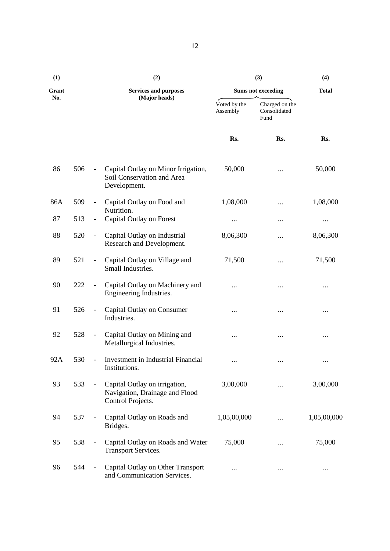| (1)   |     |                          | (2)                                                                                  |                          | (3)                                    | (4)          |  |
|-------|-----|--------------------------|--------------------------------------------------------------------------------------|--------------------------|----------------------------------------|--------------|--|
| Grant |     |                          | <b>Services and purposes</b>                                                         |                          | <b>Sums not exceeding</b>              | <b>Total</b> |  |
| No.   |     |                          | (Major heads)                                                                        | Voted by the<br>Assembly | Charged on the<br>Consolidated<br>Fund |              |  |
|       |     |                          |                                                                                      | Rs.                      | Rs.                                    | Rs.          |  |
| 86    | 506 | $\overline{\phantom{a}}$ | Capital Outlay on Minor Irrigation,<br>Soil Conservation and Area<br>Development.    | 50,000                   |                                        | 50,000       |  |
| 86A   | 509 |                          | Capital Outlay on Food and<br>Nutrition.                                             | 1,08,000                 |                                        | 1,08,000     |  |
| 87    | 513 | $\overline{\phantom{a}}$ | Capital Outlay on Forest                                                             | $\cdots$                 | $\cdots$                               | $\cdots$     |  |
| 88    | 520 | $\overline{\phantom{a}}$ | Capital Outlay on Industrial<br>Research and Development.                            | 8,06,300                 | $\cdots$                               | 8,06,300     |  |
| 89    | 521 | $\blacksquare$           | Capital Outlay on Village and<br>Small Industries.                                   | 71,500                   |                                        | 71,500       |  |
| 90    | 222 |                          | Capital Outlay on Machinery and<br>Engineering Industries.                           |                          | $\cdots$                               |              |  |
| 91    | 526 | $\overline{\phantom{a}}$ | Capital Outlay on Consumer<br>Industries.                                            |                          | $\ldots$                               | $\cdots$     |  |
| 92    | 528 | $\overline{\phantom{a}}$ | Capital Outlay on Mining and<br>Metallurgical Industries.                            | $\cdots$                 |                                        | $\cdots$     |  |
| 92A   | 530 |                          | Investment in Industrial Financial<br>Institutions.                                  |                          | $\cdots$                               | $\cdots$     |  |
| 93    | 533 |                          | Capital Outlay on irrigation,<br>Navigation, Drainage and Flood<br>Control Projects. | 3,00,000                 |                                        | 3,00,000     |  |
| 94    | 537 |                          | Capital Outlay on Roads and<br>Bridges.                                              | 1,05,00,000              |                                        | 1,05,00,000  |  |
| 95    | 538 |                          | Capital Outlay on Roads and Water<br><b>Transport Services.</b>                      | 75,000                   |                                        | 75,000       |  |
| 96    | 544 |                          | Capital Outlay on Other Transport<br>and Communication Services.                     |                          | $\ldots$                               | $\cdots$     |  |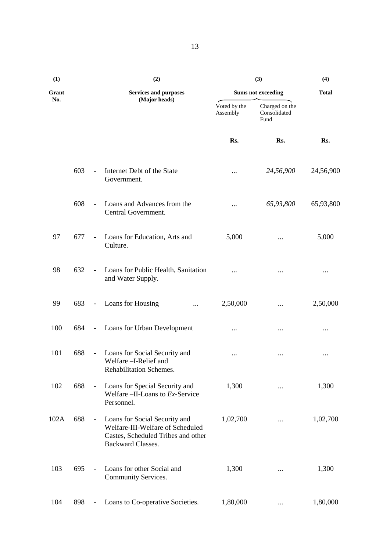| (1)   |     |                          | (2)                                                                                                                                 |                          | (3)<br>(4)                             |              |
|-------|-----|--------------------------|-------------------------------------------------------------------------------------------------------------------------------------|--------------------------|----------------------------------------|--------------|
| Grant |     |                          | <b>Services and purposes</b>                                                                                                        |                          | <b>Sums not exceeding</b>              | <b>Total</b> |
| No.   |     |                          | (Major heads)                                                                                                                       | Voted by the<br>Assembly | Charged on the<br>Consolidated<br>Fund |              |
|       |     |                          |                                                                                                                                     | Rs.                      | Rs.                                    | Rs.          |
|       | 603 | $\omega$                 | Internet Debt of the State<br>Government.                                                                                           | $\cdots$                 | 24,56,900                              | 24,56,900    |
|       | 608 | $\blacksquare$           | Loans and Advances from the<br>Central Government.                                                                                  | $\cdots$                 | 65,93,800                              | 65,93,800    |
| 97    | 677 | $\overline{\phantom{a}}$ | Loans for Education, Arts and<br>Culture.                                                                                           | 5,000                    |                                        | 5,000        |
| 98    | 632 | $\overline{\phantom{a}}$ | Loans for Public Health, Sanitation<br>and Water Supply.                                                                            | $\cdots$                 |                                        |              |
| 99    | 683 | $\omega_{\rm c}$         | Loans for Housing<br>$\cdots$                                                                                                       | 2,50,000                 |                                        | 2,50,000     |
| 100   | 684 | $\sim$ .                 | Loans for Urban Development                                                                                                         | $\cdots$                 |                                        | $\cdots$     |
| 101   | 688 | $\overline{\phantom{a}}$ | Loans for Social Security and<br>Welfare -I-Relief and<br>Rehabilitation Schemes.                                                   | $\cdots$                 |                                        | $\cdots$     |
| 102   | 688 | $\blacksquare$           | Loans for Special Security and<br>Welfare $-II$ -Loans to $Ex$ -Service<br>Personnel.                                               | 1,300                    | $\cdots$                               | 1,300        |
| 102A  | 688 |                          | Loans for Social Security and<br>Welfare-III-Welfare of Scheduled<br>Castes, Scheduled Tribes and other<br><b>Backward Classes.</b> | 1,02,700                 |                                        | 1,02,700     |
| 103   | 695 |                          | Loans for other Social and<br>Community Services.                                                                                   | 1,300                    |                                        | 1,300        |
| 104   | 898 |                          | Loans to Co-operative Societies.                                                                                                    | 1,80,000                 |                                        | 1,80,000     |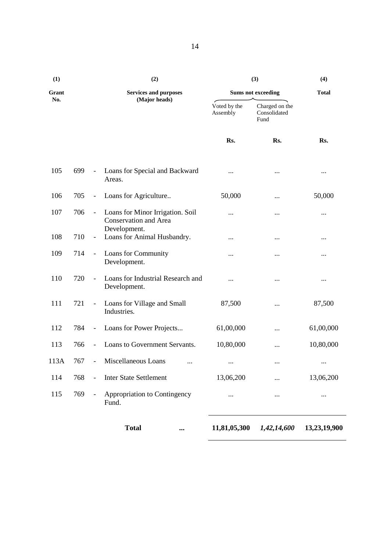| (1)   |     |                          | (2)                                                                       | (3)                       | (4)                                    |              |
|-------|-----|--------------------------|---------------------------------------------------------------------------|---------------------------|----------------------------------------|--------------|
| Grant |     |                          | <b>Services and purposes</b>                                              | <b>Sums not exceeding</b> | <b>Total</b>                           |              |
| No.   |     |                          | (Major heads)                                                             | Voted by the<br>Assembly  | Charged on the<br>Consolidated<br>Fund |              |
|       |     |                          |                                                                           | Rs.                       | Rs.                                    | Rs.          |
| 105   | 699 | $\overline{\phantom{a}}$ | Loans for Special and Backward<br>Areas.                                  | $\cdots$                  |                                        | $\cdots$     |
| 106   | 705 | $\overline{\phantom{a}}$ | Loans for Agriculture                                                     | 50,000                    |                                        | 50,000       |
| 107   | 706 | $\overline{\phantom{a}}$ | Loans for Minor Irrigation. Soil<br>Conservation and Area<br>Development. |                           |                                        | $\cdots$     |
| 108   | 710 | $\overline{\phantom{a}}$ | Loans for Animal Husbandry.                                               | $\cdots$                  |                                        | $\cdots$     |
| 109   | 714 | $\overline{\phantom{a}}$ | Loans for Community<br>Development.                                       | $\cdots$                  |                                        | $\cdots$     |
| 110   | 720 | $\frac{1}{2}$            | Loans for Industrial Research and<br>Development.                         | $\cdots$                  |                                        |              |
| 111   | 721 | $\overline{\phantom{a}}$ | Loans for Village and Small<br>Industries.                                | 87,500                    |                                        | 87,500       |
| 112   | 784 | $\overline{\phantom{a}}$ | Loans for Power Projects                                                  | 61,00,000                 |                                        | 61,00,000    |
| 113   | 766 | $\overline{\phantom{a}}$ | Loans to Government Servants.                                             | 10,80,000                 |                                        | 10,80,000    |
| 113A  | 767 | $\overline{\phantom{a}}$ | Miscellaneous Loans<br>                                                   | $\cdots$                  |                                        | $\cdots$     |
| 114   | 768 |                          | <b>Inter State Settlement</b>                                             | 13,06,200                 |                                        | 13,06,200    |
| 115   | 769 |                          | Appropriation to Contingency<br>Fund.                                     | $\cdots$                  | $\cdots$                               | $\cdots$     |
|       |     |                          | <b>Total</b><br>$\cdots$                                                  | 11,81,05,300              | 1,42,14,600                            | 13,23,19,900 |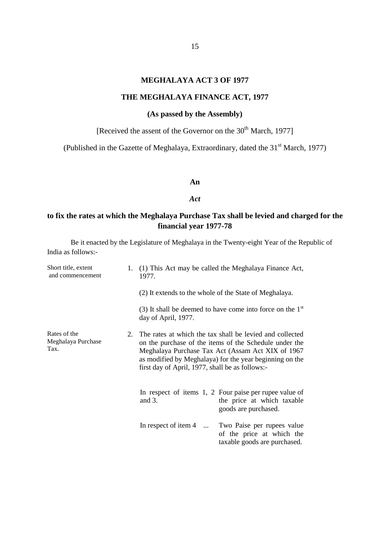#### **MEGHALAYA ACT 3 OF 1977**

#### **THE MEGHALAYA FINANCE ACT, 1977**

# **(As passed by the Assembly)**

[Received the assent of the Governor on the 30<sup>th</sup> March, 1977]

(Published in the Gazette of Meghalaya, Extraordinary, dated the 31<sup>st</sup> March, 1977)

#### **An**

#### *Act*

# **to fix the rates at which the Meghalaya Purchase Tax shall be levied and charged for the financial year 1977-78**

| Short title, extent<br>and commencement    | 1.      | 1977.                                                  | (1) This Act may be called the Meghalaya Finance Act,                                                                                                                                                                              |
|--------------------------------------------|---------|--------------------------------------------------------|------------------------------------------------------------------------------------------------------------------------------------------------------------------------------------------------------------------------------------|
|                                            |         | (2) It extends to the whole of the State of Meghalaya. |                                                                                                                                                                                                                                    |
|                                            |         | day of April, 1977.                                    | (3) It shall be deemed to have come into force on the $1st$                                                                                                                                                                        |
| Rates of the<br>Meghalaya Purchase<br>Tax. | $2^{2}$ | first day of April, 1977, shall be as follows:-        | The rates at which the tax shall be levied and collected<br>on the purchase of the items of the Schedule under the<br>Meghalaya Purchase Tax Act (Assam Act XIX of 1967<br>as modified by Meghalaya) for the year beginning on the |
|                                            |         | and $3$ .                                              | In respect of items 1, 2 Four paise per rupee value of<br>the price at which taxable<br>goods are purchased.                                                                                                                       |
|                                            |         |                                                        | In respect of item 4  Two Paise per rupees value<br>of the price at which the<br>taxable goods are purchased.                                                                                                                      |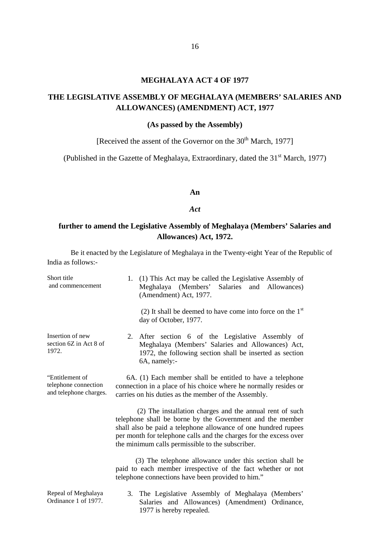#### **MEGHALAYA ACT 4 OF 1977**

# **THE LEGISLATIVE ASSEMBLY OF MEGHALAYA (MEMBERS' SALARIES AND ALLOWANCES) (AMENDMENT) ACT, 1977**

#### **(As passed by the Assembly)**

[Received the assent of the Governor on the  $30<sup>th</sup>$  March, 1977]

(Published in the Gazette of Meghalaya, Extraordinary, dated the  $31<sup>st</sup>$  March, 1977)

#### **An**

#### *Act*

### **further to amend the Legislative Assembly of Meghalaya (Members' Salaries and Allowances) Act, 1972.**

| Short title<br>and commencement                                   | (1) This Act may be called the Legislative Assembly of<br>1.<br>Meghalaya (Members'<br>Salaries and Allowances)<br>(Amendment) Act, 1977.                                                                                                                                                                        |  |
|-------------------------------------------------------------------|------------------------------------------------------------------------------------------------------------------------------------------------------------------------------------------------------------------------------------------------------------------------------------------------------------------|--|
|                                                                   | (2) It shall be deemed to have come into force on the $1st$<br>day of October, 1977.                                                                                                                                                                                                                             |  |
| Insertion of new<br>section 6Z in Act 8 of<br>1972.               | 2. After section 6 of the Legislative Assembly of<br>Meghalaya (Members' Salaries and Allowances) Act,<br>1972, the following section shall be inserted as section<br>6A, namely:-                                                                                                                               |  |
| "Entitlement of<br>telephone connection<br>and telephone charges. | 6A. (1) Each member shall be entitled to have a telephone<br>connection in a place of his choice where he normally resides or<br>carries on his duties as the member of the Assembly.                                                                                                                            |  |
|                                                                   | (2) The installation charges and the annual rent of such<br>telephone shall be borne by the Government and the member<br>shall also be paid a telephone allowance of one hundred rupees<br>per month for telephone calls and the charges for the excess over<br>the minimum calls permissible to the subscriber. |  |
|                                                                   | (3) The telephone allowance under this section shall be<br>paid to each member irrespective of the fact whether or not<br>telephone connections have been provided to him."                                                                                                                                      |  |
| Repeal of Meghalaya<br>Ordinance 1 of 1977.                       | The Legislative Assembly of Meghalaya (Members'<br>3.<br>Salaries and Allowances) (Amendment) Ordinance,<br>1977 is hereby repealed.                                                                                                                                                                             |  |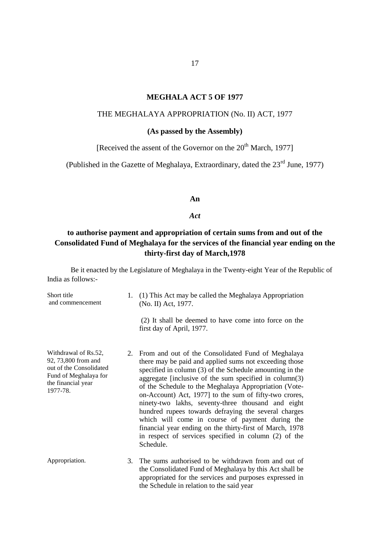#### 17

#### **MEGHALA ACT 5 OF 1977**

#### THE MEGHALAYA APPROPRIATION (No. II) ACT, 1977

#### **(As passed by the Assembly)**

[Received the assent of the Governor on the 20<sup>th</sup> March, 1977]

(Published in the Gazette of Meghalaya, Extraordinary, dated the 23<sup>rd</sup> June, 1977)

**An**

*Act*

# **to authorise payment and appropriation of certain sums from and out of the Consolidated Fund of Meghalaya for the services of the financial year ending on the thirty-first day of March,1978**

| Short title<br>and commencement                                                                                                   | 1. | (1) This Act may be called the Meghalaya Appropriation<br>(No. II) Act, 1977.                                                                                                                                                                                                                                                                                                                                                                                                                                                                                                                                                                            |
|-----------------------------------------------------------------------------------------------------------------------------------|----|----------------------------------------------------------------------------------------------------------------------------------------------------------------------------------------------------------------------------------------------------------------------------------------------------------------------------------------------------------------------------------------------------------------------------------------------------------------------------------------------------------------------------------------------------------------------------------------------------------------------------------------------------------|
|                                                                                                                                   |    | (2) It shall be deemed to have come into force on the<br>first day of April, 1977.                                                                                                                                                                                                                                                                                                                                                                                                                                                                                                                                                                       |
| Withdrawal of Rs.52,<br>92, 73,800 from and<br>out of the Consolidated<br>Fund of Meghalaya for<br>the financial year<br>1977-78. | 2. | From and out of the Consolidated Fund of Meghalaya<br>there may be paid and applied sums not exceeding those<br>specified in column (3) of the Schedule amounting in the<br>aggregate [inclusive of the sum specified in column(3)<br>of the Schedule to the Meghalaya Appropriation (Vote-<br>on-Account) Act, 1977] to the sum of fifty-two crores,<br>ninety-two lakhs, seventy-three thousand and eight<br>hundred rupees towards defraying the several charges<br>which will come in course of payment during the<br>financial year ending on the thirty-first of March, 1978<br>in respect of services specified in column (2) of the<br>Schedule. |
| Appropriation.                                                                                                                    | 3. | The sums authorised to be withdrawn from and out of<br>the Consolidated Fund of Meghalaya by this Act shall be<br>appropriated for the services and purposes expressed in<br>the Schedule in relation to the said year                                                                                                                                                                                                                                                                                                                                                                                                                                   |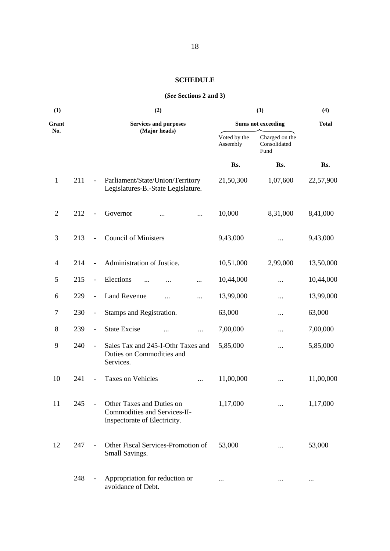#### **SCHEDULE**

#### **(***See* **Sections 2 and 3)**

| (1)            |     |                          | (2)                                                                                       |                          | (3)                                    | (4)          |
|----------------|-----|--------------------------|-------------------------------------------------------------------------------------------|--------------------------|----------------------------------------|--------------|
| Grant          |     |                          | <b>Services and purposes</b>                                                              |                          | <b>Sums not exceeding</b>              | <b>Total</b> |
| No.            |     |                          | (Major heads)                                                                             | Voted by the<br>Assembly | Charged on the<br>Consolidated<br>Fund |              |
|                |     |                          |                                                                                           | Rs.                      | Rs.                                    | Rs.          |
| $\mathbf{1}$   | 211 | $\overline{\phantom{a}}$ | Parliament/State/Union/Territory<br>Legislatures-B.-State Legislature.                    | 21,50,300                | 1,07,600                               | 22,57,900    |
| $\overline{2}$ | 212 |                          | Governor<br>                                                                              | 10,000                   | 8,31,000                               | 8,41,000     |
| 3              | 213 | $\overline{\phantom{a}}$ | <b>Council of Ministers</b>                                                               | 9,43,000                 |                                        | 9,43,000     |
| $\overline{4}$ | 214 | $\overline{\phantom{0}}$ | Administration of Justice.                                                                | 10,51,000                | 2,99,000                               | 13,50,000    |
| 5              | 215 | $\blacksquare$           | Elections<br>$\ddotsc$<br>.                                                               | 10,44,000                | $\cdots$                               | 10,44,000    |
| 6              | 229 | $\blacksquare$           | <b>Land Revenue</b><br>$\ddotsc$<br>                                                      | 13,99,000                |                                        | 13,99,000    |
| 7              | 230 | $\qquad \qquad -$        | Stamps and Registration.                                                                  | 63,000                   |                                        | 63,000       |
| 8              | 239 | $\blacksquare$           | <b>State Excise</b><br>                                                                   | 7,00,000                 |                                        | 7,00,000     |
| 9              | 240 | $\overline{\phantom{a}}$ | Sales Tax and 245-I-Othr Taxes and<br>Duties on Commodities and<br>Services.              | 5,85,000                 |                                        | 5,85,000     |
| 10             | 241 |                          | <b>Taxes on Vehicles</b><br>                                                              | 11,00,000                |                                        | 11,00,000    |
| 11             | 245 |                          | Other Taxes and Duties on<br>Commodities and Services-II-<br>Inspectorate of Electricity. | 1,17,000                 |                                        | 1,17,000     |
| 12             | 247 | $\overline{\phantom{0}}$ | Other Fiscal Services-Promotion of<br>Small Savings.                                      | 53,000                   |                                        | 53,000       |
|                | 248 | $\overline{\phantom{a}}$ | Appropriation for reduction or<br>avoidance of Debt.                                      | $\cdots$                 | $\cdots$                               | $\cdots$     |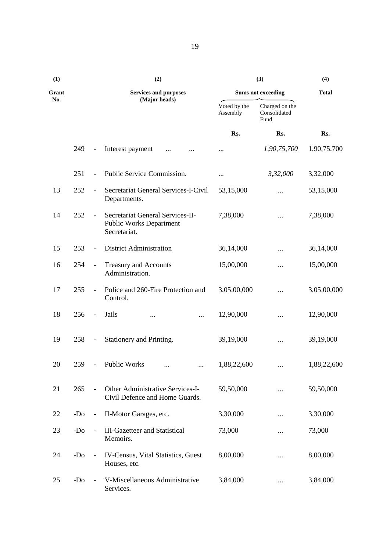| (1)   |       |                          | (2)                                                                                |                          | (3)                                    | (4)          |
|-------|-------|--------------------------|------------------------------------------------------------------------------------|--------------------------|----------------------------------------|--------------|
| Grant |       |                          | <b>Services and purposes</b>                                                       |                          | <b>Sums not exceeding</b>              | <b>Total</b> |
| No.   |       |                          | (Major heads)                                                                      | Voted by the<br>Assembly | Charged on the<br>Consolidated<br>Fund |              |
|       |       |                          |                                                                                    | Rs.                      | Rs.                                    | Rs.          |
|       | 249   | $\overline{\phantom{a}}$ | Interest payment<br>$\cdots$                                                       |                          | 1,90,75,700                            | 1,90,75,700  |
|       | 251   | $\overline{\phantom{a}}$ | Public Service Commission.                                                         | $\cdots$                 | 3,32,000                               | 3,32,000     |
| 13    | 252   | $\overline{\phantom{a}}$ | Secretariat General Services-I-Civil<br>Departments.                               | 53,15,000                |                                        | 53,15,000    |
| 14    | 252   | $\overline{\phantom{a}}$ | Secretariat General Services-II-<br><b>Public Works Department</b><br>Secretariat. | 7,38,000                 |                                        | 7,38,000     |
| 15    | 253   | $\overline{\phantom{a}}$ | <b>District Administration</b>                                                     | 36,14,000                |                                        | 36,14,000    |
| 16    | 254   | $\overline{\phantom{a}}$ | Treasury and Accounts<br>Administration.                                           | 15,00,000                |                                        | 15,00,000    |
| 17    | 255   | $\overline{\phantom{a}}$ | Police and 260-Fire Protection and<br>Control.                                     | 3,05,00,000              |                                        | 3,05,00,000  |
| 18    | 256   | $\blacksquare$           | Jails<br><br>$\cdots$                                                              | 12,90,000                |                                        | 12,90,000    |
| 19    | 258   | $\overline{\phantom{a}}$ | Stationery and Printing.                                                           | 39,19,000                |                                        | 39,19,000    |
| 20    | 259   | $\sim$                   | <b>Public Works</b><br>$\cdots$<br>$\cdots$                                        | 1,88,22,600              |                                        | 1,88,22,600  |
| 21    | 265   |                          | Other Administrative Services-I-<br>Civil Defence and Home Guards.                 | 59,50,000                |                                        | 59,50,000    |
| 22    | $-D0$ | $\blacksquare$           | II-Motor Garages, etc.                                                             | 3,30,000                 |                                        | 3,30,000     |
| 23    | $-DO$ | $\overline{\phantom{a}}$ | <b>III-Gazetteer and Statistical</b><br>Memoirs.                                   | 73,000                   |                                        | 73,000       |
| 24    | $-DO$ | $\overline{\phantom{a}}$ | IV-Census, Vital Statistics, Guest<br>Houses, etc.                                 | 8,00,000                 |                                        | 8,00,000     |
| 25    | $-Do$ |                          | V-Miscellaneous Administrative<br>Services.                                        | 3,84,000                 | $\cdots$                               | 3,84,000     |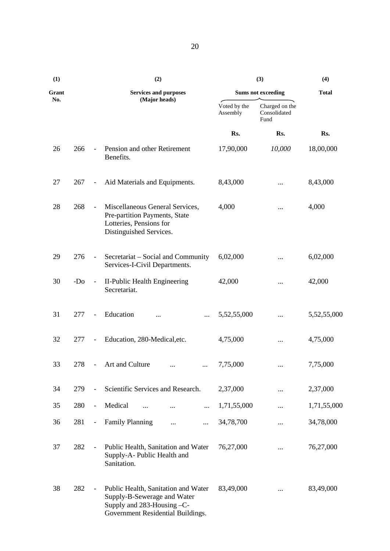| (1)   |                 |                          | (2)                                                                                                                                   |                          | (3)                                    | (4)          |
|-------|-----------------|--------------------------|---------------------------------------------------------------------------------------------------------------------------------------|--------------------------|----------------------------------------|--------------|
| Grant |                 |                          | <b>Services and purposes</b>                                                                                                          |                          | <b>Sums not exceeding</b>              | <b>Total</b> |
| No.   |                 |                          | (Major heads)                                                                                                                         | Voted by the<br>Assembly | Charged on the<br>Consolidated<br>Fund |              |
|       |                 |                          |                                                                                                                                       | Rs.                      | Rs.                                    | Rs.          |
| 26    | 266             | $\blacksquare$           | Pension and other Retirement<br>Benefits.                                                                                             | 17,90,000                | 10,000                                 | 18,00,000    |
| 27    | 267             | $\blacksquare$           | Aid Materials and Equipments.                                                                                                         | 8,43,000                 |                                        | 8,43,000     |
| 28    | 268             | $\equiv$                 | Miscellaneous General Services,<br>Pre-partition Payments, State<br>Lotteries, Pensions for<br>Distinguished Services.                | 4,000                    | $\cdots$                               | 4,000        |
| 29    | 276             | $\overline{\phantom{a}}$ | Secretariat – Social and Community<br>Services-I-Civil Departments.                                                                   | 6,02,000                 |                                        | 6,02,000     |
| 30    | -D <sub>o</sub> | $\overline{\phantom{a}}$ | II-Public Health Engineering<br>Secretariat.                                                                                          | 42,000                   | $\cdots$                               | 42,000       |
| 31    | 277             | $\overline{\phantom{a}}$ | Education<br>$\cdots$<br>$\cdots$                                                                                                     | 5,52,55,000              |                                        | 5,52,55,000  |
| 32    | 277             | $\overline{\phantom{a}}$ | Education, 280-Medical, etc.                                                                                                          | 4,75,000                 | $\cdots$                               | 4,75,000     |
| 33    | 278             | $\overline{\phantom{a}}$ | Art and Culture<br>$\cdots$<br>$\cdots$                                                                                               | 7,75,000                 | $\cdots$                               | 7,75,000     |
| 34    | 279             | $\equiv$                 | Scientific Services and Research.                                                                                                     | 2,37,000                 |                                        | 2,37,000     |
| 35    | 280             | $\overline{\phantom{a}}$ | Medical<br>$\cdots$<br>$\cdots$<br>                                                                                                   | 1,71,55,000              |                                        | 1,71,55,000  |
| 36    | 281             | $\overline{\phantom{a}}$ | <b>Family Planning</b><br>$\cdots$<br>                                                                                                | 34,78,700                |                                        | 34,78,000    |
| 37    | 282             |                          | Public Health, Sanitation and Water<br>Supply-A- Public Health and<br>Sanitation.                                                     | 76,27,000                |                                        | 76,27,000    |
| 38    | 282             | $\blacksquare$           | Public Health, Sanitation and Water<br>Supply-B-Sewerage and Water<br>Supply and 283-Housing -C-<br>Government Residential Buildings. | 83,49,000                |                                        | 83,49,000    |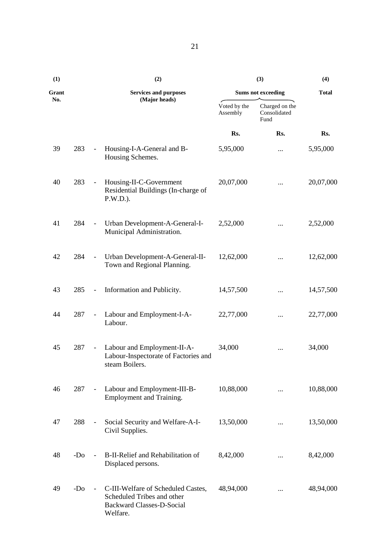| (1)   |       |                              | (2)                                                                                                              |                           | (4)                                    |           |
|-------|-------|------------------------------|------------------------------------------------------------------------------------------------------------------|---------------------------|----------------------------------------|-----------|
| Grant |       | <b>Services and purposes</b> |                                                                                                                  | <b>Sums not exceeding</b> | <b>Total</b>                           |           |
| No.   |       |                              | (Major heads)                                                                                                    | Voted by the<br>Assembly  | Charged on the<br>Consolidated<br>Fund |           |
|       |       |                              |                                                                                                                  | Rs.                       | Rs.                                    | Rs.       |
| 39    | 283   | $\overline{\phantom{a}}$     | Housing-I-A-General and B-<br>Housing Schemes.                                                                   | 5,95,000                  |                                        | 5,95,000  |
| 40    | 283   | $\overline{\phantom{a}}$     | Housing-II-C-Government<br>Residential Buildings (In-charge of<br>$P.W.D.$ ).                                    | 20,07,000                 |                                        | 20,07,000 |
| 41    | 284   | $\blacksquare$               | Urban Development-A-General-I-<br>Municipal Administration.                                                      | 2,52,000                  | $\cdots$                               | 2,52,000  |
| 42    | 284   | $\sim$                       | Urban Development-A-General-II-<br>Town and Regional Planning.                                                   | 12,62,000                 |                                        | 12,62,000 |
| 43    | 285   | $\overline{\phantom{a}}$     | Information and Publicity.                                                                                       | 14,57,500                 |                                        | 14,57,500 |
| 44    | 287   | $\overline{\phantom{a}}$     | Labour and Employment-I-A-<br>Labour.                                                                            | 22,77,000                 |                                        | 22,77,000 |
| 45    | 287   | $\overline{\phantom{a}}$     | Labour and Employment-II-A-<br>Labour-Inspectorate of Factories and<br>steam Boilers.                            | 34,000                    |                                        | 34,000    |
| 46    | 287   | $\sim$                       | Labour and Employment-III-B-<br>Employment and Training.                                                         | 10,88,000                 |                                        | 10,88,000 |
| 47    | 288   | $\overline{\phantom{a}}$     | Social Security and Welfare-A-I-<br>Civil Supplies.                                                              | 13,50,000                 |                                        | 13,50,000 |
| 48    | $-DO$ |                              | B-II-Relief and Rehabilitation of<br>Displaced persons.                                                          | 8,42,000                  | $\cdots$                               | 8,42,000  |
| 49    | $-D0$ | $\overline{\phantom{a}}$     | C-III-Welfare of Scheduled Castes,<br>Scheduled Tribes and other<br><b>Backward Classes-D-Social</b><br>Welfare. | 48,94,000                 |                                        | 48,94,000 |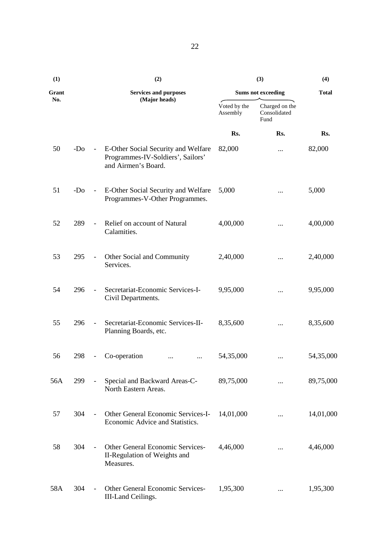| (1)   |       |                              | (2)                                                                                             |                          | (3)                                    | (4)          |
|-------|-------|------------------------------|-------------------------------------------------------------------------------------------------|--------------------------|----------------------------------------|--------------|
| Grant |       | <b>Services and purposes</b> |                                                                                                 |                          | <b>Sums not exceeding</b>              | <b>Total</b> |
| No.   |       |                              | (Major heads)                                                                                   | Voted by the<br>Assembly | Charged on the<br>Consolidated<br>Fund |              |
|       |       |                              |                                                                                                 | Rs.                      | Rs.                                    | Rs.          |
| 50    | $-D0$ | $\blacksquare$               | E-Other Social Security and Welfare<br>Programmes-IV-Soldiers', Sailors'<br>and Airmen's Board. | 82,000                   |                                        | 82,000       |
| 51    | $-D0$ | $\equiv$                     | E-Other Social Security and Welfare<br>Programmes-V-Other Programmes.                           | 5,000                    |                                        | 5,000        |
| 52    | 289   | $\overline{\phantom{a}}$     | Relief on account of Natural<br>Calamities.                                                     | 4,00,000                 |                                        | 4,00,000     |
| 53    | 295   | $\sim$                       | Other Social and Community<br>Services.                                                         | 2,40,000                 |                                        | 2,40,000     |
| 54    | 296   | $\blacksquare$               | Secretariat-Economic Services-I-<br>Civil Departments.                                          | 9,95,000                 |                                        | 9,95,000     |
| 55    | 296   | $\overline{\phantom{a}}$     | Secretariat-Economic Services-II-<br>Planning Boards, etc.                                      | 8,35,600                 | $\cdots$                               | 8,35,600     |
| 56    | 298   |                              | Co-operation<br>$\cdots$                                                                        | 54,35,000                |                                        | 54,35,000    |
| 56A   | 299   |                              | Special and Backward Areas-C-<br>North Eastern Areas.                                           | 89,75,000                |                                        | 89,75,000    |
| 57    | 304   | $\equiv$                     | Other General Economic Services-I-<br>Economic Advice and Statistics.                           | 14,01,000                | $\cdots$                               | 14,01,000    |
| 58    | 304   | $\equiv$                     | Other General Economic Services-<br>II-Regulation of Weights and<br>Measures.                   | 4,46,000                 |                                        | 4,46,000     |
| 58A   | 304   | $\equiv$                     | <b>Other General Economic Services-</b><br>III-Land Ceilings.                                   | 1,95,300                 |                                        | 1,95,300     |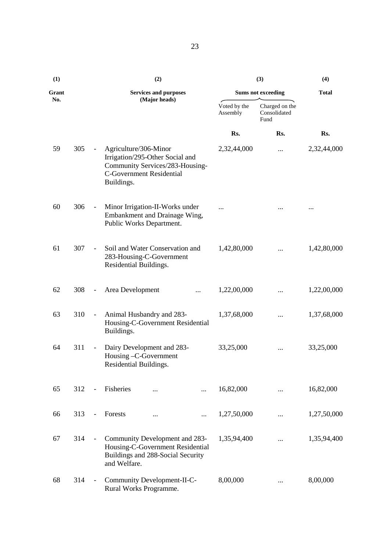| (1)   |     |                              | (2)                                                                                                                                          |                          | (3)                                    | (4)          |
|-------|-----|------------------------------|----------------------------------------------------------------------------------------------------------------------------------------------|--------------------------|----------------------------------------|--------------|
| Grant |     |                              | <b>Services and purposes</b>                                                                                                                 |                          | <b>Sums not exceeding</b>              | <b>Total</b> |
| No.   |     |                              | (Major heads)                                                                                                                                | Voted by the<br>Assembly | Charged on the<br>Consolidated<br>Fund |              |
|       |     |                              |                                                                                                                                              | Rs.                      | Rs.                                    | Rs.          |
| 59    | 305 | $\blacksquare$               | Agriculture/306-Minor<br>Irrigation/295-Other Social and<br>Community Services/283-Housing-<br><b>C-Government Residential</b><br>Buildings. | 2,32,44,000              |                                        | 2,32,44,000  |
| 60    | 306 | $\blacksquare$               | Minor Irrigation-II-Works under<br>Embankment and Drainage Wing,<br>Public Works Department.                                                 | $\cdots$                 |                                        |              |
| 61    | 307 | $\overline{\phantom{0}}$     | Soil and Water Conservation and<br>283-Housing-C-Government<br>Residential Buildings.                                                        | 1,42,80,000              |                                        | 1,42,80,000  |
| 62    | 308 | $\blacksquare$               | Area Development<br>                                                                                                                         | 1,22,00,000              |                                        | 1,22,00,000  |
| 63    | 310 | $\overline{\phantom{a}}$     | Animal Husbandry and 283-<br>Housing-C-Government Residential<br>Buildings.                                                                  | 1,37,68,000              |                                        | 1,37,68,000  |
| 64    | 311 | $\qquad \qquad \blacksquare$ | Dairy Development and 283-<br>Housing -C-Government<br>Residential Buildings.                                                                | 33,25,000                |                                        | 33,25,000    |
| 65    | 312 | $\overline{\phantom{a}}$     | Fisheries                                                                                                                                    | 16,82,000                |                                        | 16,82,000    |
| 66    | 313 | $\overline{\phantom{a}}$     | Forests<br><br>$\cdots$                                                                                                                      | 1,27,50,000              |                                        | 1,27,50,000  |
| 67    | 314 | $\blacksquare$               | Community Development and 283-<br>Housing-C-Government Residential<br>Buildings and 288-Social Security<br>and Welfare.                      | 1,35,94,400              |                                        | 1,35,94,400  |
| 68    | 314 | $\frac{1}{2}$                | Community Development-II-C-<br>Rural Works Programme.                                                                                        | 8,00,000                 |                                        | 8,00,000     |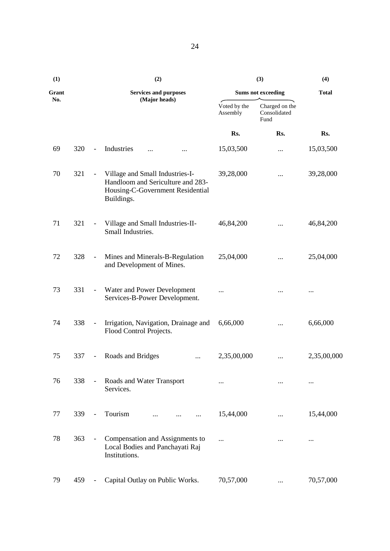| (1)   |     |                          | (2)                                                                                                                    |                          | (3)                                    | (4)          |
|-------|-----|--------------------------|------------------------------------------------------------------------------------------------------------------------|--------------------------|----------------------------------------|--------------|
| Grant |     |                          | <b>Services and purposes</b>                                                                                           |                          | <b>Sums not exceeding</b>              | <b>Total</b> |
| No.   |     |                          | (Major heads)                                                                                                          | Voted by the<br>Assembly | Charged on the<br>Consolidated<br>Fund |              |
|       |     |                          |                                                                                                                        | Rs.                      | Rs.                                    | Rs.          |
| 69    | 320 | $\blacksquare$           | Industries<br>$\ddotsc$<br>                                                                                            | 15,03,500                |                                        | 15,03,500    |
| 70    | 321 | $\overline{\phantom{a}}$ | Village and Small Industries-I-<br>Handloom and Sericulture and 283-<br>Housing-C-Government Residential<br>Buildings. | 39,28,000                | $\cdots$                               | 39,28,000    |
| 71    | 321 | $\overline{\phantom{a}}$ | Village and Small Industries-II-<br>Small Industries.                                                                  | 46,84,200                | $\cdots$                               | 46,84,200    |
| 72    | 328 | $\blacksquare$           | Mines and Minerals-B-Regulation<br>and Development of Mines.                                                           | 25,04,000                | $\cdots$                               | 25,04,000    |
| 73    | 331 | $\overline{\phantom{a}}$ | Water and Power Development<br>Services-B-Power Development.                                                           | $\cdots$                 |                                        |              |
| 74    | 338 | $\blacksquare$           | Irrigation, Navigation, Drainage and<br>Flood Control Projects.                                                        | 6,66,000                 |                                        | 6,66,000     |
| 75    | 337 | $\overline{\phantom{a}}$ | Roads and Bridges<br>                                                                                                  | 2,35,00,000              |                                        | 2,35,00,000  |
| 76    | 338 | $\overline{\phantom{a}}$ | Roads and Water Transport<br>Services.                                                                                 | $\cdots$                 | $\cdots$                               | $\cdots$     |
| 77    | 339 | $\overline{\phantom{a}}$ | Tourism                                                                                                                | 15,44,000                |                                        | 15,44,000    |
| 78    | 363 | $\blacksquare$           | Compensation and Assignments to<br>Local Bodies and Panchayati Raj<br>Institutions.                                    | $\cdots$                 | $\cdots$                               | $\cdots$     |
| 79    | 459 | $\overline{\phantom{a}}$ | Capital Outlay on Public Works.                                                                                        | 70,57,000                | $\cdots$                               | 70,57,000    |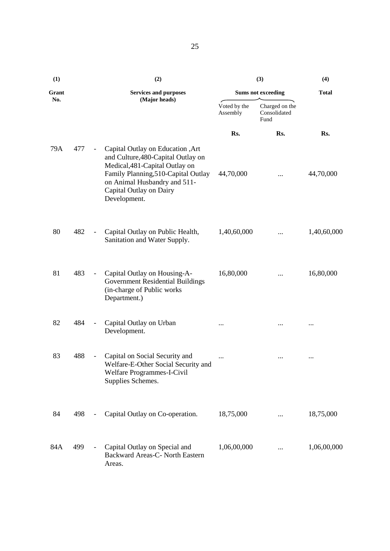| (1)   |     |                          | (2)                                                                                                                                                                                                                         |                          | (3)                                    | (4)          |
|-------|-----|--------------------------|-----------------------------------------------------------------------------------------------------------------------------------------------------------------------------------------------------------------------------|--------------------------|----------------------------------------|--------------|
| Grant |     |                          | <b>Services and purposes</b>                                                                                                                                                                                                |                          | <b>Sums not exceeding</b>              | <b>Total</b> |
| No.   |     |                          | (Major heads)                                                                                                                                                                                                               | Voted by the<br>Assembly | Charged on the<br>Consolidated<br>Fund |              |
|       |     |                          |                                                                                                                                                                                                                             | Rs.                      | Rs.                                    | Rs.          |
| 79A   | 477 | $\overline{\phantom{a}}$ | Capital Outlay on Education , Art<br>and Culture, 480-Capital Outlay on<br>Medical, 481-Capital Outlay on<br>Family Planning, 510-Capital Outlay<br>on Animal Husbandry and 511-<br>Capital Outlay on Dairy<br>Development. | 44,70,000                | $\cdots$                               | 44,70,000    |
| 80    | 482 | $\blacksquare$           | Capital Outlay on Public Health,<br>Sanitation and Water Supply.                                                                                                                                                            | 1,40,60,000              |                                        | 1,40,60,000  |
| 81    | 483 | $\blacksquare$           | Capital Outlay on Housing-A-<br>Government Residential Buildings<br>(in-charge of Public works<br>Department.)                                                                                                              | 16,80,000                |                                        | 16,80,000    |
| 82    | 484 | $\qquad \qquad -$        | Capital Outlay on Urban<br>Development.                                                                                                                                                                                     | $\cdots$                 |                                        |              |
| 83    | 488 | $\overline{\phantom{a}}$ | Capital on Social Security and<br>Welfare-E-Other Social Security and<br>Welfare Programmes-I-Civil<br>Supplies Schemes.                                                                                                    | $\cdots$                 | $\ldots$                               | $\cdots$     |
| 84    | 498 |                          | Capital Outlay on Co-operation.                                                                                                                                                                                             | 18,75,000                | $\cdots$                               | 18,75,000    |
| 84A   | 499 | $\overline{\phantom{a}}$ | Capital Outlay on Special and<br>Backward Areas-C- North Eastern<br>Areas.                                                                                                                                                  | 1,06,00,000              |                                        | 1,06,00,000  |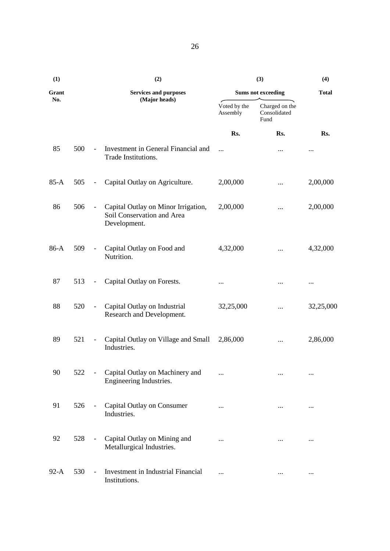| (1)    |     |                          | (2)                                                                               |                          | (3)                                    | (4)          |
|--------|-----|--------------------------|-----------------------------------------------------------------------------------|--------------------------|----------------------------------------|--------------|
| Grant  |     |                          | <b>Services and purposes</b>                                                      |                          | <b>Sums not exceeding</b>              | <b>Total</b> |
| No.    |     |                          | (Major heads)                                                                     | Voted by the<br>Assembly | Charged on the<br>Consolidated<br>Fund |              |
|        |     |                          |                                                                                   | Rs.                      | Rs.                                    | Rs.          |
| 85     | 500 | $\overline{\phantom{a}}$ | Investment in General Financial and<br>Trade Institutions.                        | $\ddotsc$                |                                        | $\cdots$     |
| $85-A$ | 505 | $\overline{\phantom{a}}$ | Capital Outlay on Agriculture.                                                    | 2,00,000                 |                                        | 2,00,000     |
| 86     | 506 | $\overline{\phantom{0}}$ | Capital Outlay on Minor Irrigation,<br>Soil Conservation and Area<br>Development. | 2,00,000                 |                                        | 2,00,000     |
| 86-A   | 509 | $\overline{\phantom{a}}$ | Capital Outlay on Food and<br>Nutrition.                                          | 4,32,000                 |                                        | 4,32,000     |
| 87     | 513 | $\overline{\phantom{a}}$ | Capital Outlay on Forests.                                                        | $\cdots$                 |                                        |              |
| 88     | 520 | $\overline{\phantom{a}}$ | Capital Outlay on Industrial<br>Research and Development.                         | 32,25,000                |                                        | 32,25,000    |
| 89     | 521 | $\overline{\phantom{a}}$ | Capital Outlay on Village and Small<br>Industries.                                | 2,86,000                 |                                        | 2,86,000     |
| 90     | 522 |                          | Capital Outlay on Machinery and<br>Engineering Industries.                        | $\cdots$                 |                                        |              |
| 91     | 526 | $\overline{\phantom{a}}$ | Capital Outlay on Consumer<br>Industries.                                         | $\cdots$                 | $\cdots$                               | $\cdots$     |
| 92     | 528 | $\qquad \qquad -$        | Capital Outlay on Mining and<br>Metallurgical Industries.                         | $\cdots$                 | $\ldots$                               |              |
| $92-A$ | 530 | $\overline{\phantom{a}}$ | Investment in Industrial Financial<br>Institutions.                               |                          |                                        | $\cdots$     |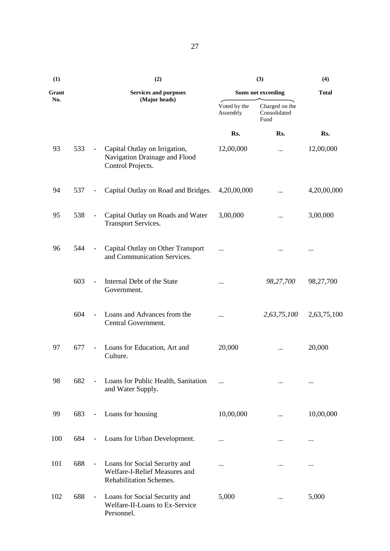| (1)   |     |                             | (2)                                                                                       |                          | (3)                                    | (4)          |
|-------|-----|-----------------------------|-------------------------------------------------------------------------------------------|--------------------------|----------------------------------------|--------------|
| Grant |     |                             | <b>Services and purposes</b>                                                              |                          | <b>Sums not exceeding</b>              | <b>Total</b> |
| No.   |     |                             | (Major heads)                                                                             | Voted by the<br>Assembly | Charged on the<br>Consolidated<br>Fund |              |
|       |     |                             |                                                                                           | Rs.                      | Rs.                                    | Rs.          |
| 93    | 533 | $\blacksquare$              | Capital Outlay on Irrigation,<br>Navigation Drainage and Flood<br>Control Projects.       | 12,00,000                | $\cdots$                               | 12,00,000    |
| 94    | 537 | $\overline{\phantom{a}}$    | Capital Outlay on Road and Bridges.                                                       | 4,20,00,000              |                                        | 4,20,00,000  |
| 95    | 538 | $\overline{\phantom{a}}$    | Capital Outlay on Roads and Water<br><b>Transport Services.</b>                           | 3,00,000                 |                                        | 3,00,000     |
| 96    | 544 | $\overline{\phantom{a}}$    | Capital Outlay on Other Transport<br>and Communication Services.                          | $\cdots$                 |                                        | $\cdots$     |
|       | 603 | $\blacksquare$              | Internal Debt of the State<br>Government.                                                 | $\cdots$                 | 98,27,700                              | 98,27,700    |
|       | 604 | $\blacksquare$              | Loans and Advances from the<br>Central Government.                                        |                          | 2,63,75,100                            | 2,63,75,100  |
| 97    | 677 | $\overline{\phantom{a}}$    | Loans for Education, Art and<br>Culture.                                                  | 20,000                   |                                        | 20,000       |
| 98    | 682 | $\equiv$                    | Loans for Public Health, Sanitation<br>and Water Supply.                                  | $\cdots$                 | $\cdots$                               | $\cdots$     |
| 99    | 683 | $\mathcal{L}_{\mathcal{A}}$ | Loans for housing                                                                         | 10,00,000                |                                        | 10,00,000    |
| 100   | 684 | $\blacksquare$              | Loans for Urban Development.                                                              | $\cdots$                 |                                        |              |
| 101   | 688 | $\overline{\phantom{a}}$    | Loans for Social Security and<br>Welfare-I-Relief Measures and<br>Rehabilitation Schemes. | $\cdots$                 | $\cdots$                               | $\cdots$     |
| 102   | 688 | $\overline{\phantom{a}}$    | Loans for Social Security and<br>Welfare-II-Loans to Ex-Service<br>Personnel.             | 5,000                    |                                        | 5,000        |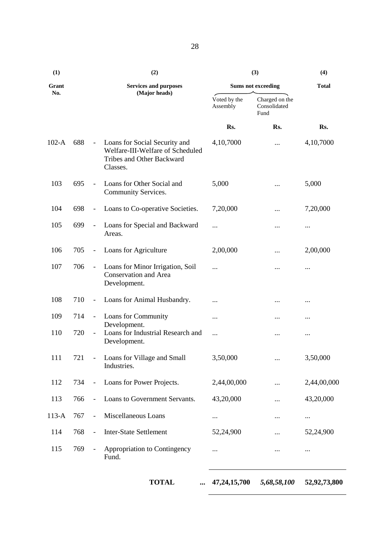| (1)     |     |                          | (2)                                                                                                        |                          | (3)                                    | (4)          |
|---------|-----|--------------------------|------------------------------------------------------------------------------------------------------------|--------------------------|----------------------------------------|--------------|
| Grant   |     |                          | <b>Services and purposes</b>                                                                               |                          | <b>Sums not exceeding</b>              | <b>Total</b> |
| No.     |     |                          | (Major heads)                                                                                              | Voted by the<br>Assembly | Charged on the<br>Consolidated<br>Fund |              |
|         |     |                          |                                                                                                            | Rs.                      | Rs.                                    | Rs.          |
| $102-A$ | 688 | $\blacksquare$           | Loans for Social Security and<br>Welfare-III-Welfare of Scheduled<br>Tribes and Other Backward<br>Classes. | 4,10,7000                |                                        | 4,10,7000    |
| 103     | 695 |                          | Loans for Other Social and<br>Community Services.                                                          | 5,000                    |                                        | 5,000        |
| 104     | 698 | $\overline{\phantom{a}}$ | Loans to Co-operative Societies.                                                                           | 7,20,000                 |                                        | 7,20,000     |
| 105     | 699 | $\blacksquare$           | Loans for Special and Backward<br>Areas.                                                                   | $\cdots$                 |                                        |              |
| 106     | 705 | $\blacksquare$           | Loans for Agriculture                                                                                      | 2,00,000                 |                                        | 2,00,000     |
| 107     | 706 | $\blacksquare$           | Loans for Minor Irrigation, Soil<br><b>Conservation and Area</b><br>Development.                           |                          |                                        | $\cdots$     |
| 108     | 710 | $\overline{\phantom{a}}$ | Loans for Animal Husbandry.                                                                                |                          | $\cdots$                               |              |
| 109     | 714 | $\blacksquare$           | Loans for Community                                                                                        |                          |                                        | $\cdots$     |
| 110     | 720 | $\overline{\phantom{a}}$ | Development.<br>Loans for Industrial Research and<br>Development.                                          | $\cdots$                 |                                        | $\cdots$     |
| 111     | 721 | $\overline{\phantom{a}}$ | Loans for Village and Small<br>Industries.                                                                 | 3,50,000                 |                                        | 3,50,000     |
| 112     | 734 | $\Box$                   | Loans for Power Projects.                                                                                  | 2,44,00,000              |                                        | 2,44,00,000  |
| 113     | 766 | $\overline{a}$           | Loans to Government Servants.                                                                              | 43,20,000                |                                        | 43,20,000    |
| $113-A$ | 767 |                          | Miscellaneous Loans                                                                                        |                          |                                        | $\cdots$     |
| 114     | 768 | $\blacksquare$           | <b>Inter-State Settlement</b>                                                                              | 52,24,900                |                                        | 52,24,900    |
| 115     | 769 | $\overline{\phantom{a}}$ | Appropriation to Contingency<br>Fund.                                                                      |                          |                                        | $\cdots$     |

**TOTAL ... 47,24,15,700** *5,68,58,100* **52,92,73,800**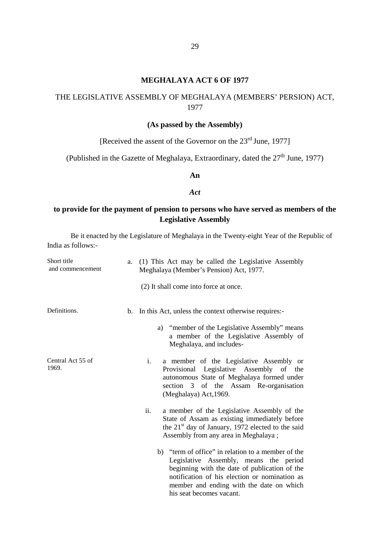#### **MEGHALAYA ACT 6 OF 1977**

# THE LEGISLATIVE ASSEMBLY OF MEGHALAYA (MEMBERS' PERSION) ACT, 1977

#### **(As passed by the Assembly)**

[Received the assent of the Governor on the  $23<sup>rd</sup>$  June, 1977]

(Published in the Gazette of Meghalaya, Extraordinary, dated the  $27<sup>th</sup>$  June, 1977)

#### **An**

#### *Act*

### **to provide for the payment of pension to persons who have served as members of the Legislative Assembly**

| Short title<br>and commencement | a.      | (1) This Act may be called the Legislative Assembly<br>Meghalaya (Member's Pension) Act, 1977.                                                                                                                                                                         |
|---------------------------------|---------|------------------------------------------------------------------------------------------------------------------------------------------------------------------------------------------------------------------------------------------------------------------------|
|                                 |         | (2) It shall come into force at once.                                                                                                                                                                                                                                  |
| Definitions.                    | $b_{1}$ | In this Act, unless the context otherwise requires:-                                                                                                                                                                                                                   |
|                                 |         | a) "member of the Legislative Assembly" means<br>a member of the Legislative Assembly of<br>Meghalaya, and includes-                                                                                                                                                   |
| Central Act 55 of<br>1969.      |         | i.<br>a member of the Legislative Assembly or<br>Provisional Legislative Assembly of the<br>autonomous State of Meghalaya formed under<br>section 3 of the Assam Re-organisation<br>(Meghalaya) Act, 1969.                                                             |
|                                 |         | ii.<br>a member of the Legislative Assembly of the<br>State of Assam as existing immediately before<br>the $21st$ day of January, 1972 elected to the said<br>Assembly from any area in Meghalaya;                                                                     |
|                                 |         | b) "term of office" in relation to a member of the<br>Legislative Assembly, means the period<br>beginning with the date of publication of the<br>notification of his election or nomination as<br>member and ending with the date on which<br>his seat becomes vacant. |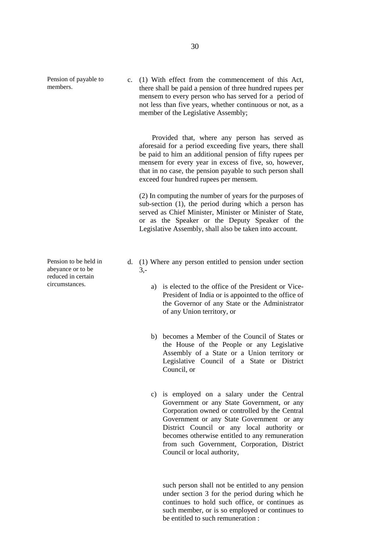Pension of payable to members.

Pension to be held in abeyance or to be reduced in certain circumstances.

c. (1) With effect from the commencement of this Act, there shall be paid a pension of three hundred rupees per mensem to every person who has served for a period of not less than five years, whether continuous or not, as a member of the Legislative Assembly;

Provided that, where any person has served as aforesaid for a period exceeding five years, there shall be paid to him an additional pension of fifty rupees per mensem for every year in excess of five, so, however, that in no case, the pension payable to such person shall exceed four hundred rupees per mensem.

(2) In computing the number of years for the purposes of sub-section (1), the period during which a person has served as Chief Minister, Minister or Minister of State, or as the Speaker or the Deputy Speaker of the Legislative Assembly, shall also be taken into account.

- d. (1) Where any person entitled to pension under section 3,
	- a) is elected to the office of the President or Vice- President of India or is appointed to the office of the Governor of any State or the Administrator of any Union territory, or
	- b) becomes a Member of the Council of States or the House of the People or any Legislative Assembly of a State or a Union territory or Legislative Council of a State or District Council, or
	- c) is employed on a salary under the Central Government or any State Government, or any Corporation owned or controlled by the Central Government or any State Government or any District Council or any local authority or becomes otherwise entitled to any remuneration from such Government, Corporation, District Council or local authority,

such person shall not be entitled to any pension under section 3 for the period during which he continues to hold such office, or continues as such member, or is so employed or continues to be entitled to such remuneration :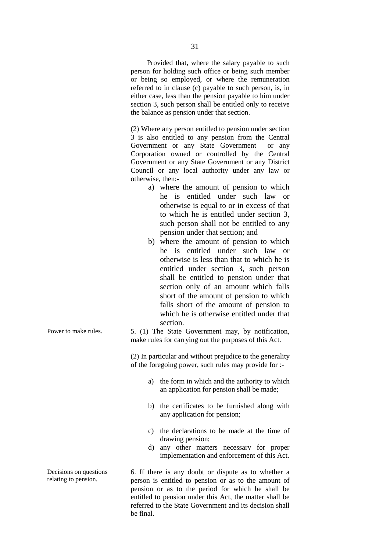Provided that, where the salary payable to such person for holding such office or being such member or being so employed, or where the remuneration referred to in clause (c) payable to such person, is, in either case, less than the pension payable to him under section 3, such person shall be entitled only to receive the balance as pension under that section.

(2) Where any person entitled to pension under section 3 is also entitled to any pension from the Central Government or any State Government or any Corporation owned or controlled by the Central Government or any State Government or any District Council or any local authority under any law or otherwise, then:-

- a) where the amount of pension to which he is entitled under such law or otherwise is equal to or in excess of that to which he is entitled under section 3, such person shall not be entitled to any pension under that section; and
- b) where the amount of pension to which he is entitled under such law or otherwise is less than that to which he is entitled under section 3, such person shall be entitled to pension under that section only of an amount which falls short of the amount of pension to which falls short of the amount of pension to which he is otherwise entitled under that section.

Power to make rules. 5. (1) The State Government may, by notification, make rules for carrying out the purposes of this Act.

> (2) In particular and without prejudice to the generality of the foregoing power, such rules may provide for :-

- a) the form in which and the authority to which an application for pension shall be made;
- b) the certificates to be furnished along with any application for pension;
- c) the declarations to be made at the time of drawing pension;
- d) any other matters necessary for proper implementation and enforcement of this Act.

6. If there is any doubt or dispute as to whether a person is entitled to pension or as to the amount of pension or as to the period for which he shall be entitled to pension under this Act, the matter shall be referred to the State Government and its decision shall be final.

Decisions on questions relating to pension.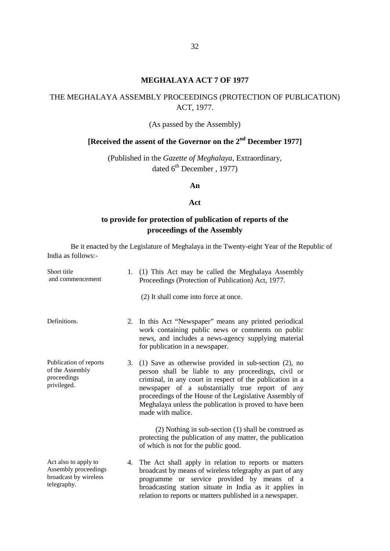#### **MEGHALAYA ACT 7 OF 1977**

# THE MEGHALAYA ASSEMBLY PROCEEDINGS (PROTECTION OF PUBLICATION) ACT, 1977.

#### (As passed by the Assembly)

# **[Received the assent of the Governor on the 2nd December 1977]**

(Published in the *Gazette of Meghalaya,* Extraordinary, dated  $6^{\text{th}}$  December, 1977)

#### **An**

#### **Act**

# **to provide for protection of publication of reports of the proceedings of the Assembly**

| Short title<br>and commencement                                                      | 1. | (1) This Act may be called the Meghalaya Assembly<br>Proceedings (Protection of Publication) Act, 1977.<br>(2) It shall come into force at once.                                                                                                                                                                                                                           |
|--------------------------------------------------------------------------------------|----|----------------------------------------------------------------------------------------------------------------------------------------------------------------------------------------------------------------------------------------------------------------------------------------------------------------------------------------------------------------------------|
| Definitions.                                                                         | 2. | In this Act "Newspaper" means any printed periodical<br>work containing public news or comments on public<br>news, and includes a news-agency supplying material<br>for publication in a newspaper.                                                                                                                                                                        |
| Publication of reports<br>of the Assembly<br>proceedings<br>privileged.              | 3. | (1) Save as otherwise provided in sub-section $(2)$ , no<br>person shall be liable to any proceedings, civil or<br>criminal, in any court in respect of the publication in a<br>newspaper of a substantially true report of any<br>proceedings of the House of the Legislative Assembly of<br>Meghalaya unless the publication is proved to have been<br>made with malice. |
|                                                                                      |    | (2) Nothing in sub-section (1) shall be construed as<br>protecting the publication of any matter, the publication<br>of which is not for the public good.                                                                                                                                                                                                                  |
| Act also to apply to<br>Assembly proceedings<br>broadcast by wireless<br>telegraphy. | 4. | The Act shall apply in relation to reports or matters<br>broadcast by means of wireless telegraphy as part of any<br>programme or service provided by means of a<br>broadcasting station situate in India as it applies in<br>relation to reports or matters published in a newspaper.                                                                                     |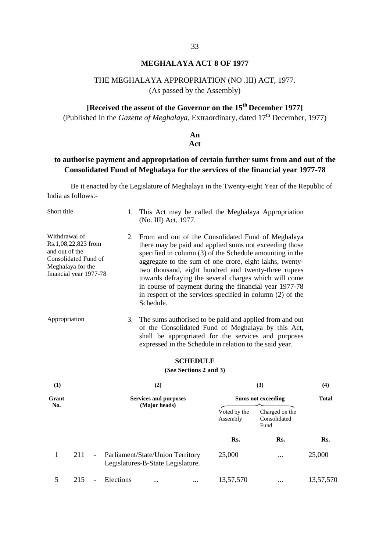#### **MEGHALAYA ACT 8 OF 1977**

# THE MEGHALAYA APPROPRIATION (NO .III) ACT, 1977.

(As passed by the Assembly)

# **[Received the assent of the Governor on the 15th December 1977]**

(Published in the *Gazette of Meghalaya*, Extraordinary, dated 17<sup>th</sup> December, 1977)

# **An**

#### **Act**

# **to authorise payment and appropriation of certain further sums from and out of the Consolidated Fund of Meghalaya for the services of the financial year 1977-78**

| Short title                                                                                                                   |     |                | 1.                                                                    | (No. III) Act, 1977.                                                                                                                                                                                                                                                                                                                                                                                                                                                                    |                        |                                                         | This Act may be called the Meghalaya Appropriation                                                                                                                   |              |  |
|-------------------------------------------------------------------------------------------------------------------------------|-----|----------------|-----------------------------------------------------------------------|-----------------------------------------------------------------------------------------------------------------------------------------------------------------------------------------------------------------------------------------------------------------------------------------------------------------------------------------------------------------------------------------------------------------------------------------------------------------------------------------|------------------------|---------------------------------------------------------|----------------------------------------------------------------------------------------------------------------------------------------------------------------------|--------------|--|
| Withdrawal of<br>Rs.1,08,22,823 from<br>and out of the<br>Consolidated Fund of<br>Meghalaya for the<br>financial year 1977-78 |     |                | 2.                                                                    | From and out of the Consolidated Fund of Meghalaya<br>there may be paid and applied sums not exceeding those<br>specified in column (3) of the Schedule amounting in the<br>aggregate to the sum of one crore, eight lakhs, twenty-<br>two thousand, eight hundred and twenty-three rupees<br>towards defraying the several charges which will come<br>in course of payment during the financial year 1977-78<br>in respect of the services specified in column (2) of the<br>Schedule. |                        |                                                         |                                                                                                                                                                      |              |  |
| Appropriation                                                                                                                 |     |                | 3.                                                                    |                                                                                                                                                                                                                                                                                                                                                                                                                                                                                         | <b>SCHEDULE</b>        | expressed in the Schedule in relation to the said year. | The sums authorised to be paid and applied from and out<br>of the Consolidated Fund of Meghalaya by this Act,<br>shall be appropriated for the services and purposes |              |  |
|                                                                                                                               |     |                |                                                                       |                                                                                                                                                                                                                                                                                                                                                                                                                                                                                         | (See Sections 2 and 3) |                                                         |                                                                                                                                                                      |              |  |
| (1)                                                                                                                           |     |                |                                                                       | (2)                                                                                                                                                                                                                                                                                                                                                                                                                                                                                     |                        |                                                         | (3)                                                                                                                                                                  | (4)          |  |
| Grant<br>No.                                                                                                                  |     |                |                                                                       | <b>Services and purposes</b><br>(Major heads)                                                                                                                                                                                                                                                                                                                                                                                                                                           |                        |                                                         | <b>Sums not exceeding</b>                                                                                                                                            | <b>Total</b> |  |
|                                                                                                                               |     |                |                                                                       |                                                                                                                                                                                                                                                                                                                                                                                                                                                                                         |                        | Voted by the<br>Assembly                                | Charged on the<br>Consolidated<br>Fund                                                                                                                               |              |  |
|                                                                                                                               |     |                |                                                                       |                                                                                                                                                                                                                                                                                                                                                                                                                                                                                         |                        | Rs.                                                     | Rs.                                                                                                                                                                  | Rs.          |  |
| $\mathbf{1}$                                                                                                                  | 211 | $\blacksquare$ | Parliament/State/Union Territory<br>Legislatures-B-State Legislature. |                                                                                                                                                                                                                                                                                                                                                                                                                                                                                         |                        | 25,000                                                  | $\cdots$                                                                                                                                                             | 25,000       |  |
| 5                                                                                                                             | 215 | $\overline{a}$ | Elections                                                             |                                                                                                                                                                                                                                                                                                                                                                                                                                                                                         | $\cdots$               | 13,57,570                                               | $\cdots$                                                                                                                                                             | 13,57,570    |  |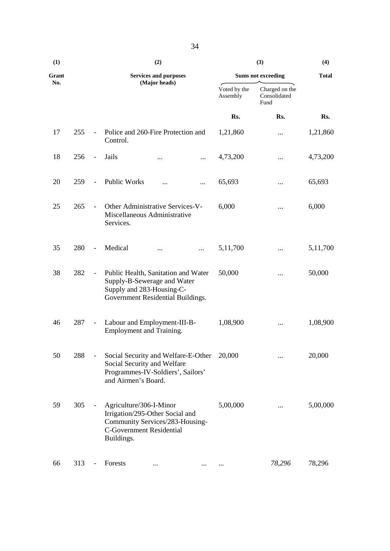| (1)   |     |                          | (2)                                                                                                                                            |                          | (4)                                    |              |
|-------|-----|--------------------------|------------------------------------------------------------------------------------------------------------------------------------------------|--------------------------|----------------------------------------|--------------|
| Grant |     |                          | <b>Services and purposes</b>                                                                                                                   |                          | <b>Sums not exceeding</b>              | <b>Total</b> |
| No.   |     |                          | (Major heads)                                                                                                                                  | Voted by the<br>Assembly | Charged on the<br>Consolidated<br>Fund |              |
|       |     |                          |                                                                                                                                                | Rs.                      | Rs.                                    | Rs.          |
| 17    | 255 | $\Box$                   | Police and 260-Fire Protection and<br>Control.                                                                                                 | 1,21,860                 |                                        | 1,21,860     |
| 18    | 256 | $\blacksquare$           | Jails<br>$\cdots$<br>$\cdots$                                                                                                                  | 4,73,200                 |                                        | 4,73,200     |
| 20    | 259 | $\overline{\phantom{a}}$ | <b>Public Works</b><br>$\cdots$                                                                                                                | 65,693                   |                                        | 65,693       |
| 25    | 265 | $\overline{\phantom{a}}$ | Other Administrative Services-V-<br>Miscellaneous Administrative<br>Services.                                                                  | 6,000                    |                                        | 6,000        |
| 35    | 280 | $\blacksquare$           | Medical<br>$\cdots$<br>$\cdots$                                                                                                                | 5,11,700                 |                                        | 5,11,700     |
| 38    | 282 | $\blacksquare$           | Public Health, Sanitation and Water<br>Supply-B-Sewerage and Water<br>Supply and 283-Housing-C-<br>Government Residential Buildings.           | 50,000                   | $\cdots$                               | 50,000       |
| 46    | 287 | $\overline{\phantom{a}}$ | Labour and Employment-III-B-<br>Employment and Training.                                                                                       | 1,08,900                 |                                        | 1,08,900     |
| 50    | 288 |                          | Social Security and Welfare-E-Other<br>Social Security and Welfare<br>Programmes-IV-Soldiers', Sailors'<br>and Airmen's Board.                 | 20,000                   |                                        | 20,000       |
| 59    | 305 | $\qquad \qquad -$        | Agriculture/306-I-Minor<br>Irrigation/295-Other Social and<br>Community Services/283-Housing-<br><b>C-Government Residential</b><br>Buildings. | 5,00,000                 |                                        | 5,00,000     |
| 66    | 313 |                          | Forests<br>$\cdots$<br>$\cdots$                                                                                                                |                          | 78,296                                 | 78,296       |

34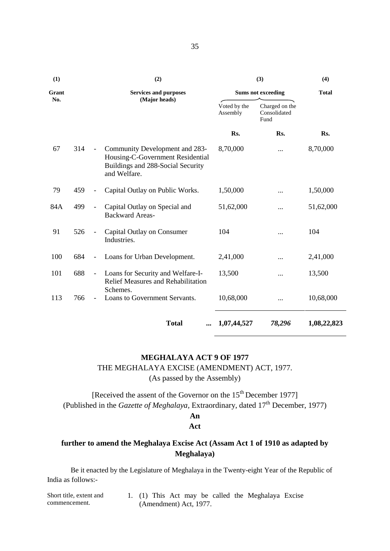| (1)   |     |                              | (2)                                                                                                                     |                          | (3)                                    | (4)          |
|-------|-----|------------------------------|-------------------------------------------------------------------------------------------------------------------------|--------------------------|----------------------------------------|--------------|
| Grant |     |                              | <b>Services and purposes</b>                                                                                            |                          | <b>Sums not exceeding</b>              | <b>Total</b> |
| No.   |     |                              | (Major heads)                                                                                                           | Voted by the<br>Assembly | Charged on the<br>Consolidated<br>Fund |              |
|       |     |                              |                                                                                                                         | Rs.                      | Rs.                                    | Rs.          |
| 67    | 314 | $\overline{\phantom{a}}$     | Community Development and 283-<br>Housing-C-Government Residential<br>Buildings and 288-Social Security<br>and Welfare. | 8,70,000                 |                                        | 8,70,000     |
| 79    | 459 | $\qquad \qquad \blacksquare$ | Capital Outlay on Public Works.                                                                                         | 1,50,000                 |                                        | 1,50,000     |
| 84A   | 499 | $\overline{\phantom{a}}$     | Capital Outlay on Special and<br><b>Backward Areas-</b>                                                                 | 51,62,000                | .                                      | 51,62,000    |
| 91    | 526 | $\overline{\phantom{a}}$     | Capital Outlay on Consumer<br>Industries.                                                                               | 104                      |                                        | 104          |
| 100   | 684 | $\overline{\phantom{a}}$     | Loans for Urban Development.                                                                                            | 2,41,000                 | $\ddotsc$                              | 2,41,000     |
| 101   | 688 | $\equiv$                     | Loans for Security and Welfare-I-<br><b>Relief Measures and Rehabilitation</b>                                          | 13,500                   |                                        | 13,500       |
| 113   | 766 | $\blacksquare$               | Schemes.<br>Loans to Government Servants.                                                                               | 10,68,000                |                                        | 10,68,000    |
|       |     |                              | <b>Total</b>                                                                                                            | 1,07,44,527              | 78,296                                 | 1,08,22,823  |

### **MEGHALAYA ACT 9 OF 1977**

THE MEGHALAYA EXCISE (AMENDMENT) ACT, 1977.

(As passed by the Assembly)

[Received the assent of the Governor on the 15<sup>th</sup> December 1977] (Published in the *Gazette of Meghalaya*, Extraordinary, dated 17<sup>th</sup> December, 1977)

# **An**

### **Act**

# **further to amend the Meghalaya Excise Act (Assam Act 1 of 1910 as adapted by Meghalaya)**

| Short title, extent and |  |                        |  |  | 1. (1) This Act may be called the Meghalaya Excise |  |
|-------------------------|--|------------------------|--|--|----------------------------------------------------|--|
| commencement.           |  | (Amendment) Act, 1977. |  |  |                                                    |  |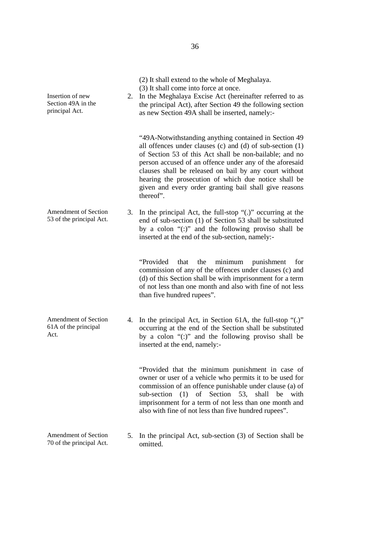| Insertion of new<br>Section 49A in the<br>principal Act.    |    | (2) It shall extend to the whole of Meghalaya.<br>(3) It shall come into force at once.<br>2. In the Meghalaya Excise Act (hereinafter referred to as<br>the principal Act), after Section 49 the following section<br>as new Section 49A shall be inserted, namely:-                                                                                                                                                               |
|-------------------------------------------------------------|----|-------------------------------------------------------------------------------------------------------------------------------------------------------------------------------------------------------------------------------------------------------------------------------------------------------------------------------------------------------------------------------------------------------------------------------------|
|                                                             |    | "49A-Notwithstanding anything contained in Section 49<br>all offences under clauses (c) and (d) of sub-section $(1)$<br>of Section 53 of this Act shall be non-bailable; and no<br>person accused of an offence under any of the aforesaid<br>clauses shall be released on bail by any court without<br>hearing the prosecution of which due notice shall be<br>given and every order granting bail shall give reasons<br>thereof". |
| Amendment of Section<br>53 of the principal Act.            |    | 3. In the principal Act, the full-stop "(.)" occurring at the<br>end of sub-section (1) of Section 53 shall be substituted<br>by a colon "(:)" and the following proviso shall be<br>inserted at the end of the sub-section, namely:-                                                                                                                                                                                               |
|                                                             |    | "Provided<br>that<br>the<br>minimum<br>punishment<br>for<br>commission of any of the offences under clauses (c) and<br>(d) of this Section shall be with imprisonment for a term<br>of not less than one month and also with fine of not less<br>than five hundred rupees".                                                                                                                                                         |
| <b>Amendment of Section</b><br>61A of the principal<br>Act. |    | 4. In the principal Act, in Section 61A, the full-stop "(.)"<br>occurring at the end of the Section shall be substituted<br>by a colon "(:)" and the following proviso shall be<br>inserted at the end, namely:-                                                                                                                                                                                                                    |
|                                                             |    | "Provided that the minimum punishment in case of<br>owner or user of a vehicle who permits it to be used for<br>commission of an offence punishable under clause (a) of<br>of Section 53, shall<br>sub-section<br>(1)<br>be<br>with<br>imprisonment for a term of not less than one month and<br>also with fine of not less than five hundred rupees".                                                                              |
| <b>Amendment of Section</b><br>70 of the principal Act.     | 5. | In the principal Act, sub-section (3) of Section shall be<br>omitted.                                                                                                                                                                                                                                                                                                                                                               |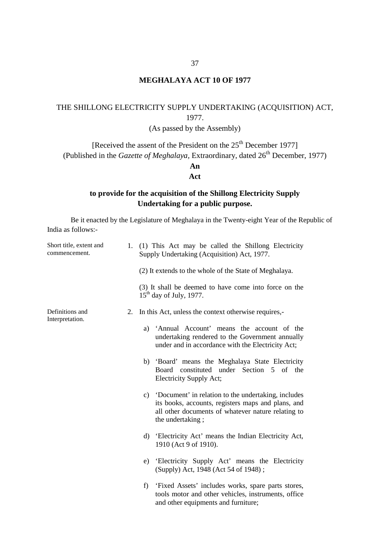#### **MEGHALAYA ACT 10 OF 1977**

# THE SHILLONG ELECTRICITY SUPPLY UNDERTAKING (ACQUISITION) ACT, 1977.

# (As passed by the Assembly)

[Received the assent of the President on the 25<sup>th</sup> December 1977] (Published in the *Gazette of Meghalaya*, Extraordinary, dated 26<sup>th</sup> December, 1977)

# **An**

#### **Act**

### **to provide for the acquisition of the Shillong Electricity Supply Undertaking for a public purpose.**

| Short title, extent and<br>commencement. |    | 1. (1) This Act may be called the Shillong Electricity<br>Supply Undertaking (Acquisition) Act, 1977.                                                                                  |  |  |  |  |
|------------------------------------------|----|----------------------------------------------------------------------------------------------------------------------------------------------------------------------------------------|--|--|--|--|
|                                          |    | (2) It extends to the whole of the State of Meghalaya.                                                                                                                                 |  |  |  |  |
|                                          |    | (3) It shall be deemed to have come into force on the<br>$15th$ day of July, 1977.                                                                                                     |  |  |  |  |
| Definitions and<br>Interpretation.       | 2. | In this Act, unless the context otherwise requires,-                                                                                                                                   |  |  |  |  |
|                                          |    | a) 'Annual Account' means the account of the<br>undertaking rendered to the Government annually<br>under and in accordance with the Electricity Act;                                   |  |  |  |  |
|                                          |    | b) 'Board' means the Meghalaya State Electricity<br>constituted under Section 5 of the<br>Board<br>Electricity Supply Act;                                                             |  |  |  |  |
|                                          |    | c) 'Document' in relation to the undertaking, includes<br>its books, accounts, registers maps and plans, and<br>all other documents of whatever nature relating to<br>the undertaking; |  |  |  |  |
|                                          |    | 'Electricity Act' means the Indian Electricity Act,<br>d)<br>1910 (Act 9 of 1910).                                                                                                     |  |  |  |  |
|                                          |    | 'Electricity Supply Act' means the Electricity<br>e)<br>(Supply) Act, 1948 (Act 54 of 1948);                                                                                           |  |  |  |  |
|                                          |    | f<br>'Fixed Assets' includes works, spare parts stores,<br>tools motor and other vehicles, instruments, office<br>and other equipments and furniture;                                  |  |  |  |  |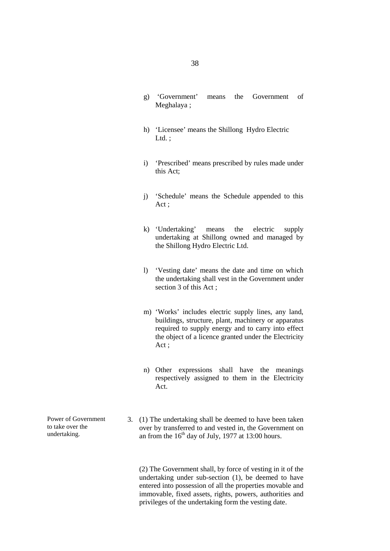- g) 'Government' means the Government of Meghalaya ;
- h) 'Licensee' means the Shillong Hydro Electric Ltd.:
- i) 'Prescribed' means prescribed by rules made under this Act;
- j) 'Schedule' means the Schedule appended to this Act ;
- k) 'Undertaking' means the electric supply undertaking at Shillong owned and managed by the Shillong Hydro Electric Ltd.
- l) 'Vesting date' means the date and time on which the undertaking shall vest in the Government under section 3 of this Act ;
- m) 'Works' includes electric supply lines, any land, buildings, structure, plant, machinery or apparatus required to supply energy and to carry into effect the object of a licence granted under the Electricity Act ;
- n) Other expressions shall have the meanings respectively assigned to them in the Electricity Act.
- Power of Government 3. (1) The undertaking shall be deemed to have been taken<br>to take over the over by transferred to and vested in, the Government on<br>undertaking. an from the  $16<sup>th</sup>$  day of July 1977 at 13:00 hours over by transferred to and vested in, the Government on an from the  $16<sup>th</sup>$  day of July, 1977 at 13:00 hours.

(2) The Government shall, by force of vesting in it of the undertaking under sub-section (1), be deemed to have entered into possession of all the properties movable and immovable, fixed assets, rights, powers, authorities and privileges of the undertaking form the vesting date.

Power of Government to take over the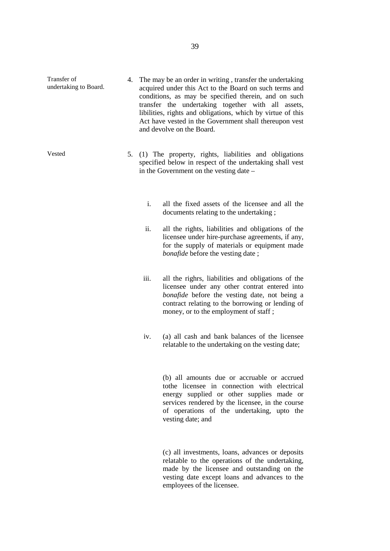- Transfer of undertaking to Board. 4. The may be an order in writing , transfer the undertaking acquired under this Act to the Board on such terms and conditions, as may be specified therein, and on such transfer the undertaking together with all assets, libilities, rights and obligations, which by virtue of this Act have vested in the Government shall thereupon vest and devolve on the Board.
- Vested 5. (1) The property, rights, liabilities and obligations specified below in respect of the undertaking shall vest in the Government on the vesting date –
	- i. all the fixed assets of the licensee and all the documents relating to the undertaking ;
	- ii. all the rights, liabilities and obligations of the licensee under hire-purchase agreements, if any, for the supply of materials or equipment made *bonafide* before the vesting date ;
	- iii. all the righrs, liabilities and obligations of the licensee under any other contrat entered into *bonafide* before the vesting date, not being a contract relating to the borrowing or lending of money, or to the employment of staff ;
	- iv. (a) all cash and bank balances of the licensee relatable to the undertaking on the vesting date;

(b) all amounts due or accruable or accrued tothe licensee in connection with electrical energy supplied or other supplies made or services rendered by the licensee, in the course of operations of the undertaking, upto the vesting date; and

(c) all investments, loans, advances or deposits relatable to the operations of the undertaking, made by the licensee and outstanding on the vesting date except loans and advances to the employees of the licensee.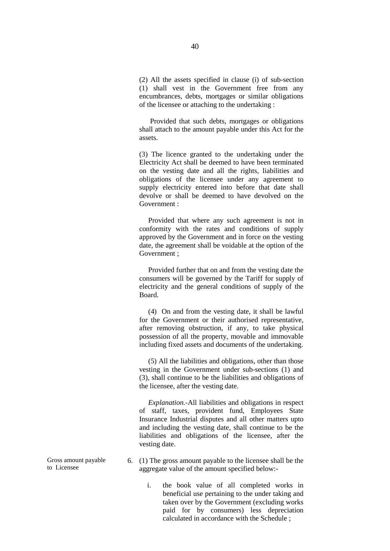(2) All the assets specified in clause (i) of sub-section (1) shall vest in the Government free from any encumbrances, debts, mortgages or similar obligations of the licensee or attaching to the undertaking :

Provided that such debts, mortgages or obligations shall attach to the amount payable under this Act for the assets.

(3) The licence granted to the undertaking under the Electricity Act shall be deemed to have been terminated on the vesting date and all the rights, liabilities and obligations of the licensee under any agreement to supply electricity entered into before that date shall devolve or shall be deemed to have devolved on the Government :

Provided that where any such agreement is not in conformity with the rates and conditions of supply approved by the Government and in force on the vesting date, the agreement shall be voidable at the option of the Government ;

Provided further that on and from the vesting date the consumers will be governed by the Tariff for supply of electricity and the general conditions of supply of the Board.

(4) On and from the vesting date, it shall be lawful for the Government or their authorised representative, after removing obstruction, if any, to take physical possession of all the property, movable and immovable including fixed assets and documents of the undertaking.

(5) All the liabilities and obligations, other than those vesting in the Government under sub-sections (1) and (3), shall continue to be the liabilities and obligations of the licensee, after the vesting date.

*Explanation.-*All liabilities and obligations in respect of staff, taxes, provident fund, Employees State Insurance Industrial disputes and all other matters upto and including the vesting date, shall continue to be the liabilities and obligations of the licensee, after the vesting date.

- 6. (1) The gross amount payable to the licensee shall be the aggregate value of the amount specified below:
	- i. the book value of all completed works in beneficial use pertaining to the under taking and taken over by the Government (excluding works paid for by consumers) less depreciation calculated in accordance with the Schedule ;

Gross amount payable to Licensee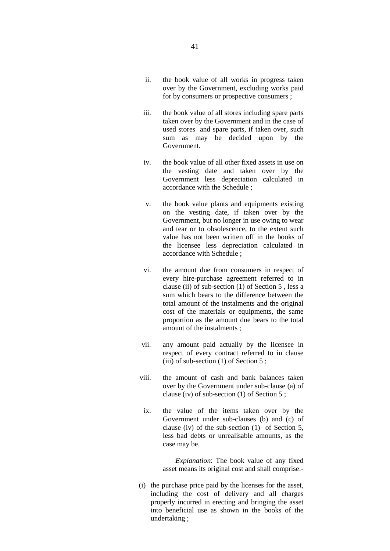- ii. the book value of all works in progress taken over by the Government, excluding works paid for by consumers or prospective consumers ;
- iii. the book value of all stores including spare parts taken over by the Government and in the case of used stores and spare parts, if taken over, such sum as may be decided upon by the Government.
- iv. the book value of all other fixed assets in use on the vesting date and taken over by the Government less depreciation calculated in accordance with the Schedule ;
- v. the book value plants and equipments existing on the vesting date, if taken over by the Government, but no longer in use owing to wear and tear or to obsolescence, to the extent such value has not been written off in the books of the licensee less depreciation calculated in accordance with Schedule ;
- vi. the amount due from consumers in respect of every hire-purchase agreement referred to in clause (ii) of sub-section (1) of Section 5 , less a sum which bears to the difference between the total amount of the instalments and the original cost of the materials or equipments, the same proportion as the amount due bears to the total amount of the instalments ;
- vii. any amount paid actually by the licensee in respect of every contract referred to in clause (iii) of sub-section  $(1)$  of Section 5;
- viii. the amount of cash and bank balances taken over by the Government under sub-clause (a) of clause (iv) of sub-section (1) of Section 5 ;
- ix. the value of the items taken over by the Government under sub-clauses (b) and (c) of clause (iv) of the sub-section (1) of Section 5, less bad debts or unrealisable amounts, as the case may be.

*Explanation*: The book value of any fixed asset means its original cost and shall comprise:-

(i) the purchase price paid by the licenses for the asset, including the cost of delivery and all charges properly incurred in erecting and bringing the asset into beneficial use as shown in the books of the undertaking ;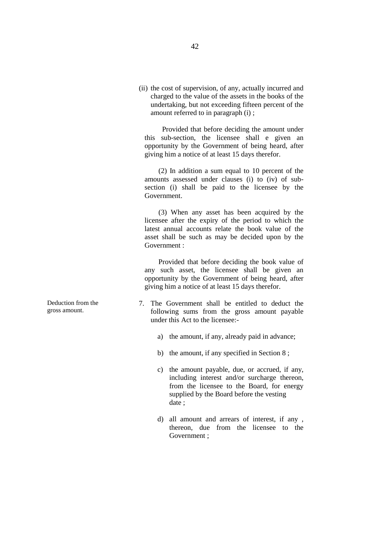(ii) the cost of supervision, of any, actually incurred and charged to the value of the assets in the books of the undertaking, but not exceeding fifteen percent of the amount referred to in paragraph (i) ;

Provided that before deciding the amount under this sub-section, the licensee shall e given an opportunity by the Government of being heard, after giving him a notice of at least 15 days therefor.

(2) In addition a sum equal to 10 percent of the amounts assessed under clauses (i) to (iv) of sub section (i) shall be paid to the licensee by the Government.

(3) When any asset has been acquired by the licensee after the expiry of the period to which the latest annual accounts relate the book value of the asset shall be such as may be decided upon by the Government :

Provided that before deciding the book value of any such asset, the licensee shall be given an opportunity by the Government of being heard, after giving him a notice of at least 15 days therefor.

- 7. The Government shall be entitled to deduct the following sums from the gross amount payable under this Act to the licensee:
	- a) the amount, if any, already paid in advance;
	- b) the amount, if any specified in Section 8 ;
	- c) the amount payable, due, or accrued, if any, including interest and/or surcharge thereon, from the licensee to the Board, for energy supplied by the Board before the vesting date ;
	- d) all amount and arrears of interest, if any , thereon, due from the licensee to the Government ;

Deduction from the gross amount.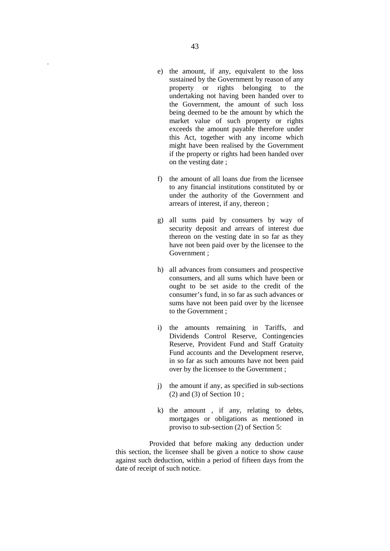- e) the amount, if any, equivalent to the loss sustained by the Government by reason of any property or rights belonging to the undertaking not having been handed over to the Government, the amount of such loss being deemed to be the amount by which the market value of such property or rights exceeds the amount payable therefore under this Act, together with any income which might have been realised by the Government if the property or rights had been handed over on the vesting date ;
- f) the amount of all loans due from the licensee to any financial institutions constituted by or under the authority of the Government and arrears of interest, if any, thereon ;
- g) all sums paid by consumers by way of security deposit and arrears of interest due thereon on the vesting date in so far as they have not been paid over by the licensee to the Government ;
- h) all advances from consumers and prospective consumers, and all sums which have been or ought to be set aside to the credit of the consumer's fund, in so far as such advances or sums have not been paid over by the licensee to the Government ;
- i) the amounts remaining in Tariffs, and Dividends Control Reserve, Contingencies Reserve, Provident Fund and Staff Gratuity Fund accounts and the Development reserve, in so far as such amounts have not been paid over by the licensee to the Government ;
- j) the amount if any, as specified in sub-sections (2) and (3) of Section 10 ;
- k) the amount , if any, relating to debts, mortgages or obligations as mentioned in proviso to sub-section (2) of Section 5:

Provided that before making any deduction under this section, the licensee shall be given a notice to show cause against such deduction, within a period of fifteen days from the date of receipt of such notice.

.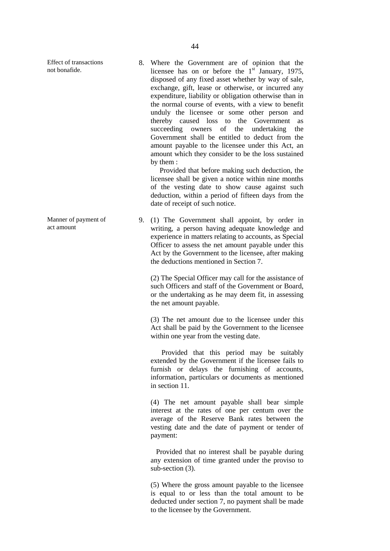Effect of transactions not bonafide.

Manner of payment of act amount

8. Where the Government are of opinion that the licensee has on or before the  $1<sup>st</sup>$  January, 1975, disposed of any fixed asset whether by way of sale, exchange, gift, lease or otherwise, or incurred any expenditure, liability or obligation otherwise than in the normal course of events, with a view to benefit unduly the licensee or some other person and thereby caused loss to the Government as succeeding owners of the undertaking the Government shall be entitled to deduct from the amount payable to the licensee under this Act, an amount which they consider to be the loss sustained by them :

Provided that before making such deduction, the licensee shall be given a notice within nine months of the vesting date to show cause against such deduction, within a period of fifteen days from the date of receipt of such notice.

9. (1) The Government shall appoint, by order in writing, a person having adequate knowledge and experience in matters relating to accounts, as Special Officer to assess the net amount payable under this Act by the Government to the licensee, after making the deductions mentioned in Section 7.

(2) The Special Officer may call for the assistance of such Officers and staff of the Government or Board, or the undertaking as he may deem fit, in assessing the net amount payable.

(3) The net amount due to the licensee under this Act shall be paid by the Government to the licensee within one year from the vesting date.

Provided that this period may be suitably extended by the Government if the licensee fails to furnish or delays the furnishing of accounts, information, particulars or documents as mentioned in section 11.

(4) The net amount payable shall bear simple interest at the rates of one per centum over the average of the Reserve Bank rates between the vesting date and the date of payment or tender of payment:

Provided that no interest shall be payable during any extension of time granted under the proviso to sub-section (3).

(5) Where the gross amount payable to the licensee is equal to or less than the total amount to be deducted under section 7, no payment shall be made to the licensee by the Government.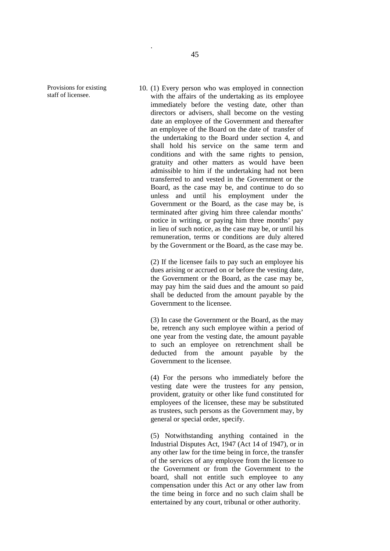Provisions for existing staff of licensee.

10. (1) Every person who was employed in connection with the affairs of the undertaking as its employee immediately before the vesting date, other than directors or advisers, shall become on the vesting date an employee of the Government and thereafter an employee of the Board on the date of transfer of the undertaking to the Board under section 4, and shall hold his service on the same term and conditions and with the same rights to pension, gratuity and other matters as would have been admissible to him if the undertaking had not been transferred to and vested in the Government or the Board, as the case may be, and continue to do so unless and until his employment under the Government or the Board, as the case may be, is terminated after giving him three calendar months' notice in writing, or paying him three months' pay in lieu of such notice, as the case may be, or until his remuneration, terms or conditions are duly altered by the Government or the Board, as the case may be.

(2) If the licensee fails to pay such an employee his dues arising or accrued on or before the vesting date, the Government or the Board, as the case may be, may pay him the said dues and the amount so paid shall be deducted from the amount payable by the Government to the licensee.

(3) In case the Government or the Board, as the may be, retrench any such employee within a period of one year from the vesting date, the amount payable to such an employee on retrenchment shall be deducted from the amount payable by the Government to the licensee.

(4) For the persons who immediately before the vesting date were the trustees for any pension, provident, gratuity or other like fund constituted for employees of the licensee, these may be substituted as trustees, such persons as the Government may, by general or special order, specify.

(5) Notwithstanding anything contained in the Industrial Disputes Act, 1947 (Act 14 of 1947), or in any other law for the time being in force, the transfer of the services of any employee from the licensee to the Government or from the Government to the board, shall not entitle such employee to any compensation under this Act or any other law from the time being in force and no such claim shall be entertained by any court, tribunal or other authority.

.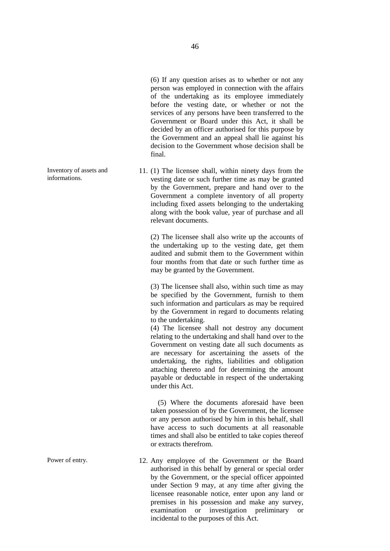(6) If any question arises as to whether or not any person was employed in connection with the affairs of the undertaking as its employee immediately before the vesting date, or whether or not the services of any persons have been transferred to the Government or Board under this Act, it shall be decided by an officer authorised for this purpose by the Government and an appeal shall lie against his decision to the Government whose decision shall be final.

11. (1) The licensee shall, within ninety days from the vesting date or such further time as may be granted by the Government, prepare and hand over to the Government a complete inventory of all property including fixed assets belonging to the undertaking along with the book value, year of purchase and all relevant documents.

> (2) The licensee shall also write up the accounts of the undertaking up to the vesting date, get them audited and submit them to the Government within four months from that date or such further time as may be granted by the Government.

> (3) The licensee shall also, within such time as may be specified by the Government, furnish to them such information and particulars as may be required by the Government in regard to documents relating to the undertaking.

> (4) The licensee shall not destroy any document relating to the undertaking and shall hand over to the Government on vesting date all such documents as are necessary for ascertaining the assets of the undertaking, the rights, liabilities and obligation attaching thereto and for determining the amount payable or deductable in respect of the undertaking under this Act.

> (5) Where the documents aforesaid have been taken possession of by the Government, the licensee or any person authorised by him in this behalf, shall have access to such documents at all reasonable times and shall also be entitled to take copies thereof or extracts therefrom.

Power of entry. 12. Any employee of the Government or the Board authorised in this behalf by general or special order by the Government, or the special officer appointed under Section 9 may, at any time after giving the licensee reasonable notice, enter upon any land or premises in his possession and make any survey, examination or investigation preliminary or incidental to the purposes of this Act.

Inventory of assets and informations.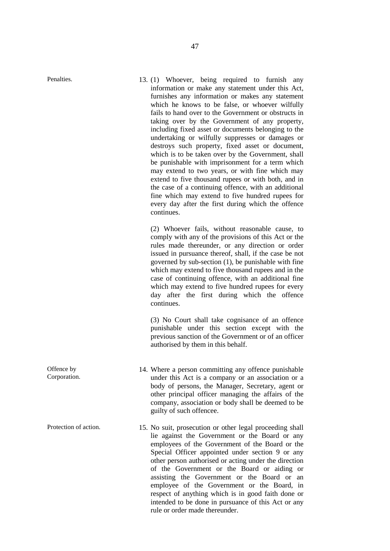Penalties. 13. (1) Whoever, being required to furnish any information or make any statement under this Act, furnishes any information or makes any statement which he knows to be false, or whoever wilfully fails to hand over to the Government or obstructs in taking over by the Government of any property, including fixed asset or documents belonging to the undertaking or wilfully suppresses or damages or destroys such property, fixed asset or document, which is to be taken over by the Government, shall be punishable with imprisonment for a term which may extend to two years, or with fine which may extend to five thousand rupees or with both, and in the case of a continuing offence, with an additional fine which may extend to five hundred rupees for every day after the first during which the offence continues.

> (2) Whoever fails, without reasonable cause, to comply with any of the provisions of this Act or the rules made thereunder, or any direction or order issued in pursuance thereof, shall, if the case be not governed by sub-section (1), be punishable with fine which may extend to five thousand rupees and in the case of continuing offence, with an additional fine which may extend to five hundred rupees for every day after the first during which the offence continues.

> (3) No Court shall take cognisance of an offence punishable under this section except with the previous sanction of the Government or of an officer authorised by them in this behalf.

- 14. Where a person committing any offence punishable under this Act is a company or an association or a body of persons, the Manager, Secretary, agent or other principal officer managing the affairs of the company, association or body shall be deemed to be guilty of such offencee.
- Protection of action. 15. No suit, prosecution or other legal proceeding shall lie against the Government or the Board or any employees of the Government of the Board or the Special Officer appointed under section 9 or any other person authorised or acting under the direction of the Government or the Board or aiding or assisting the Government or the Board or an employee of the Government or the Board, in respect of anything which is in good faith done or intended to be done in pursuance of this Act or any rule or order made thereunder.

Offence by Corporation.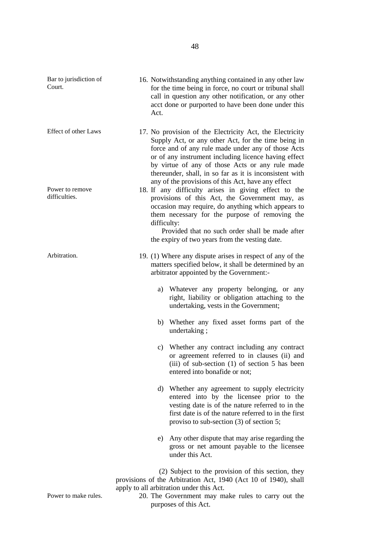| Bar to jurisdiction of<br>Court. | Act.                                                                                                                                                                                                                                                                                                                                                                                     | 16. Notwithstanding anything contained in any other law<br>for the time being in force, no court or tribunal shall<br>call in question any other notification, or any other<br>acct done or purported to have been done under this                                                                                                          |  |  |  |  |
|----------------------------------|------------------------------------------------------------------------------------------------------------------------------------------------------------------------------------------------------------------------------------------------------------------------------------------------------------------------------------------------------------------------------------------|---------------------------------------------------------------------------------------------------------------------------------------------------------------------------------------------------------------------------------------------------------------------------------------------------------------------------------------------|--|--|--|--|
| <b>Effect of other Laws</b>      |                                                                                                                                                                                                                                                                                                                                                                                          | 17. No provision of the Electricity Act, the Electricity<br>Supply Act, or any other Act, for the time being in<br>force and of any rule made under any of those Acts<br>or of any instrument including licence having effect<br>by virtue of any of those Acts or any rule made<br>thereunder, shall, in so far as it is inconsistent with |  |  |  |  |
| Power to remove<br>difficulties. | any of the provisions of this Act, have any effect<br>18. If any difficulty arises in giving effect to the<br>provisions of this Act, the Government may, as<br>occasion may require, do anything which appears to<br>them necessary for the purpose of removing the<br>difficulty:<br>Provided that no such order shall be made after<br>the expiry of two years from the vesting date. |                                                                                                                                                                                                                                                                                                                                             |  |  |  |  |
| Arbitration.                     |                                                                                                                                                                                                                                                                                                                                                                                          | 19. (1) Where any dispute arises in respect of any of the<br>matters specified below, it shall be determined by an<br>arbitrator appointed by the Government:-                                                                                                                                                                              |  |  |  |  |
|                                  |                                                                                                                                                                                                                                                                                                                                                                                          | a) Whatever any property belonging, or any<br>right, liability or obligation attaching to the<br>undertaking, vests in the Government;                                                                                                                                                                                                      |  |  |  |  |
|                                  |                                                                                                                                                                                                                                                                                                                                                                                          | b) Whether any fixed asset forms part of the<br>undertaking;                                                                                                                                                                                                                                                                                |  |  |  |  |
|                                  |                                                                                                                                                                                                                                                                                                                                                                                          | c) Whether any contract including any contract<br>or agreement referred to in clauses (ii) and<br>(iii) of sub-section $(1)$ of section 5 has been<br>entered into bonafide or not;                                                                                                                                                         |  |  |  |  |
|                                  |                                                                                                                                                                                                                                                                                                                                                                                          | d) Whether any agreement to supply electricity<br>entered into by the licensee prior to the<br>vesting date is of the nature referred to in the<br>first date is of the nature referred to in the first<br>proviso to sub-section $(3)$ of section 5;                                                                                       |  |  |  |  |
|                                  |                                                                                                                                                                                                                                                                                                                                                                                          | e) Any other dispute that may arise regarding the<br>gross or net amount payable to the licensee<br>under this Act.                                                                                                                                                                                                                         |  |  |  |  |
|                                  |                                                                                                                                                                                                                                                                                                                                                                                          | (2) Subject to the provision of this section, they<br>provisions of the Arbitration Act, 1940 (Act 10 of 1940), shall<br>apply to all arbitration under this Act.                                                                                                                                                                           |  |  |  |  |

Power to make rules. 20. The Government may make rules to carry out the purposes of this Act.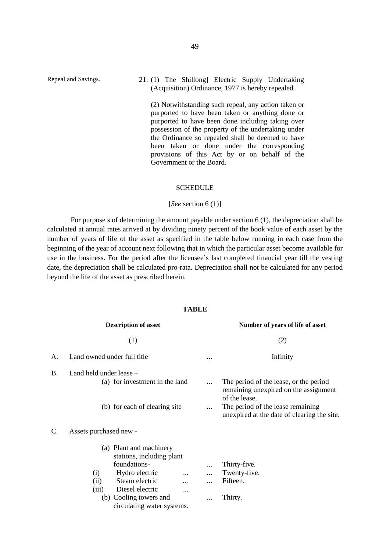Repeal and Savings. 21. (1) The Shillong] Electric Supply Undertaking (Acquisition) Ordinance, 1977 is hereby repealed.

> (2) Notwithstanding such repeal, any action taken or purported to have been taken or anything done or purported to have been done including taking over possession of the property of the undertaking under the Ordinance so repealed shall be deemed to have been taken or done under the corresponding provisions of this Act by or on behalf of the Government or the Board.

#### SCHEDULE

#### [*See* section 6 (1)]

For purpose s of determining the amount payable under section 6 (1), the depreciation shall be calculated at annual rates arrived at by dividing ninety percent of the book value of each asset by the number of years of life of the asset as specified in the table below running in each case from the beginning of the year of account next following that in which the particular asset become available for use in the business. For the period after the licensee's last completed financial year till the vesting date, the depreciation shall be calculated pro-rata. Depreciation shall not be calculated for any period beyond the life of the asset as prescribed herein.

#### **TABLE**

|    | <b>Description of asset</b>                                                                                                                                                                                                                                               | Number of years of life of asset |                                                                                                                                                                                      |  |  |
|----|---------------------------------------------------------------------------------------------------------------------------------------------------------------------------------------------------------------------------------------------------------------------------|----------------------------------|--------------------------------------------------------------------------------------------------------------------------------------------------------------------------------------|--|--|
|    | (1)                                                                                                                                                                                                                                                                       |                                  | (2)                                                                                                                                                                                  |  |  |
| A. | Land owned under full title                                                                                                                                                                                                                                               | Infinity                         |                                                                                                                                                                                      |  |  |
| B. | Land held under lease $-$<br>(a) for investment in the land<br>(b) for each of clearing site                                                                                                                                                                              |                                  | The period of the lease, or the period<br>remaining unexpired on the assignment<br>of the lease.<br>The period of the lease remaining<br>unexpired at the date of clearing the site. |  |  |
| C. | Assets purchased new -<br>(a) Plant and machinery<br>stations, including plant<br>foundations-<br>(i)<br>Hydro electric<br>$\cdots$<br>Steam electric<br>(ii)<br>$\cdots$<br>Diesel electric<br>(iii)<br>$\cdots$<br>(b) Cooling towers and<br>circulating water systems. |                                  | Thirty-five.<br>Twenty-five.<br>Fifteen.<br>Thirty.                                                                                                                                  |  |  |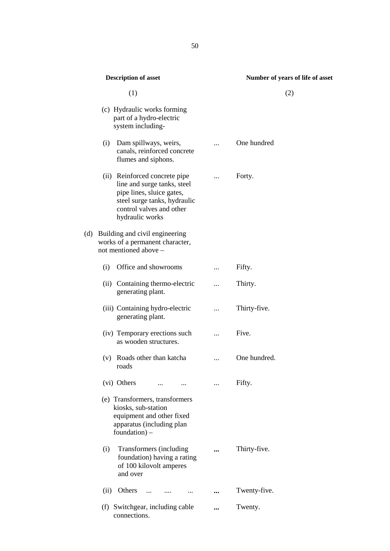| <b>Description of asset</b>                                                                                                                                              | Number of years of life of asset |
|--------------------------------------------------------------------------------------------------------------------------------------------------------------------------|----------------------------------|
| (1)                                                                                                                                                                      | (2)                              |
| (c) Hydraulic works forming<br>part of a hydro-electric<br>system including-                                                                                             |                                  |
| Dam spillways, weirs,<br>(i)<br>canals, reinforced concrete<br>flumes and siphons.                                                                                       | One hundred                      |
| (ii) Reinforced concrete pipe<br>line and surge tanks, steel<br>pipe lines, sluice gates,<br>steel surge tanks, hydraulic<br>control valves and other<br>hydraulic works | Forty.                           |
| (d) Building and civil engineering<br>works of a permanent character,<br>not mentioned above -                                                                           |                                  |
| (i)<br>Office and showrooms                                                                                                                                              | Fifty.                           |
| (ii) Containing thermo-electric<br>generating plant.                                                                                                                     | Thirty.                          |
| (iii) Containing hydro-electric<br>generating plant.                                                                                                                     | Thirty-five.                     |
| (iv) Temporary erections such<br>as wooden structures.                                                                                                                   | Five.                            |
| (v) Roads other than katcha<br>roads                                                                                                                                     | <br>One hundred.                 |
| (vi) Others<br>$\cdots$                                                                                                                                                  | Fifty.                           |
| (e) Transformers, transformers<br>kiosks, sub-station<br>equipment and other fixed<br>apparatus (including plan<br>foundation) $-$                                       |                                  |
| Transformers (including<br>(i)<br>foundation) having a rating<br>of 100 kilovolt amperes<br>and over                                                                     | <br>Thirty-five.                 |
| Others<br>(ii)                                                                                                                                                           | <br>Twenty-five.                 |
| (f) Switchgear, including cable<br>connections.                                                                                                                          | Twenty.                          |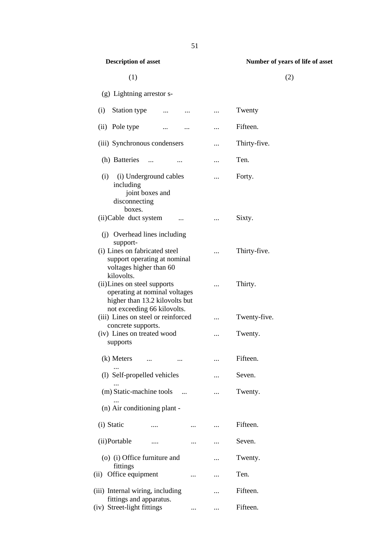#### $(1)$  (2)

# **Description of asset Number of years of life of asset**

| (g) Lightning arrestor s-                                     |           |              |
|---------------------------------------------------------------|-----------|--------------|
| Station type<br>(i)<br>                                       |           | Twenty       |
| (ii)<br>Pole type                                             | $\ddotsc$ | Fifteen.     |
| (iii) Synchronous condensers                                  |           | Thirty-five. |
| (h) Batteries<br>$\sim$ $\sim$<br>                            |           | Ten.         |
| (i) (i) Underground cables                                    |           | Forty.       |
| including<br>joint boxes and<br>disconnecting<br>boxes.       |           |              |
| (ii) Cable duct system<br>$\ddotsc$                           |           | Sixty.       |
| (j) Overhead lines including<br>support-                      |           |              |
| (i) Lines on fabricated steel<br>support operating at nominal |           | Thirty-five. |
| voltages higher than 60<br>kilovolts.                         |           |              |
| (ii) Lines on steel supports<br>operating at nominal voltages | $\ddotsc$ | Thirty.      |
| higher than 13.2 kilovolts but<br>not exceeding 66 kilovolts. |           |              |
| (iii) Lines on steel or reinforced                            |           | Twenty-five. |
| concrete supports.<br>(iv) Lines on treated wood<br>supports  |           | Twenty.      |
| (k) Meters<br>$\cdots$                                        |           | Fifteen.     |
| (1) Self-propelled vehicles                                   |           | Seven.       |
| (m) Static-machine tools                                      |           | Twenty.      |
| (n) Air conditioning plant -                                  |           |              |
| (i) Static                                                    |           | Fifteen.     |
| (ii)Portable<br>                                              |           | Seven.       |
| (o) (i) Office furniture and<br>fittings                      |           | Twenty.      |
| Office equipment<br>(i)<br>                                   |           | Ten.         |
| (iii) Internal wiring, including<br>fittings and apparatus.   | .         | Fifteen.     |
| (iv) Street-light fittings                                    |           | Fifteen.     |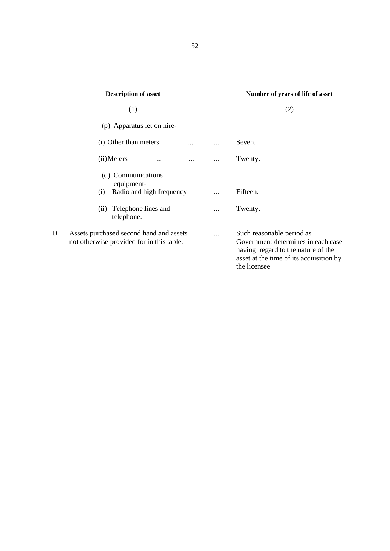|   | <b>Description of asset</b>                                                          |           | Number of years of life of asset                                                                                                                 |  |
|---|--------------------------------------------------------------------------------------|-----------|--------------------------------------------------------------------------------------------------------------------------------------------------|--|
|   | (1)                                                                                  |           | (2)                                                                                                                                              |  |
|   | (p) Apparatus let on hire-                                                           |           |                                                                                                                                                  |  |
|   | (i) Other than meters                                                                |           | Seven.                                                                                                                                           |  |
|   | (ii) Meters<br>$\cdots$<br>                                                          |           | Twenty.                                                                                                                                          |  |
|   | (q) Communications<br>equipment-                                                     |           |                                                                                                                                                  |  |
|   | Radio and high frequency<br>(i)                                                      |           | Fifteen.                                                                                                                                         |  |
|   | Telephone lines and<br>(i)<br>telephone.                                             |           | Twenty.                                                                                                                                          |  |
| D | Assets purchased second hand and assets<br>not otherwise provided for in this table. | $\ddotsc$ | Such reasonable period as<br>Government determines in each case<br>having regard to the nature of the<br>asset at the time of its acquisition by |  |

the licensee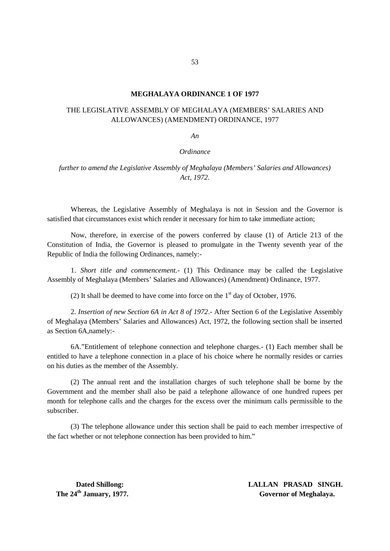#### **MEGHALAYA ORDINANCE 1 OF 1977**

#### THE LEGISLATIVE ASSEMBLY OF MEGHALAYA (MEMBERS' SALARIES AND ALLOWANCES) (AMENDMENT) ORDINANCE, 1977

*An*

#### *Ordinance*

*further to amend the Legislative Assembly of Meghalaya (Members' Salaries and Allowances) Act, 1972.*

Whereas, the Legislative Assembly of Meghalaya is not in Session and the Governor is satisfied that circumstances exist which render it necessary for him to take immediate action;

Now, therefore, in exercise of the powers conferred by clause (1) of Article 213 of the Constitution of India, the Governor is pleased to promulgate in the Twenty seventh year of the Republic of India the following Ordinances, namely:-

1. *Short title and commencement.-* (1) This Ordinance may be called the Legislative Assembly of Meghalaya (Members' Salaries and Allowances) (Amendment) Ordinance, 1977.

(2) It shall be deemed to have come into force on the  $1<sup>st</sup>$  day of October, 1976.

2. *Insertion of new Section 6A in Act 8 of 1972*.- After Section 6 of the Legislative Assembly of Meghalaya (Members' Salaries and Allowances) Act, 1972, the following section shall be inserted as Section 6A,namely:-

6A."Entitlement of telephone connection and telephone charges.- (1) Each member shall be entitled to have a telephone connection in a place of his choice where he normally resides or carries on his duties as the member of the Assembly.

(2) The annual rent and the installation charges of such telephone shall be borne by the Government and the member shall also be paid a telephone allowance of one hundred rupees per month for telephone calls and the charges for the excess over the minimum calls permissible to the subscriber.

(3) The telephone allowance under this section shall be paid to each member irrespective of the fact whether or not telephone connection has been provided to him."

**Dated Shillong: LALLAN PRASAD SINGH. The 24<sup>th</sup> January, 1977. Governor of Meghalaya.**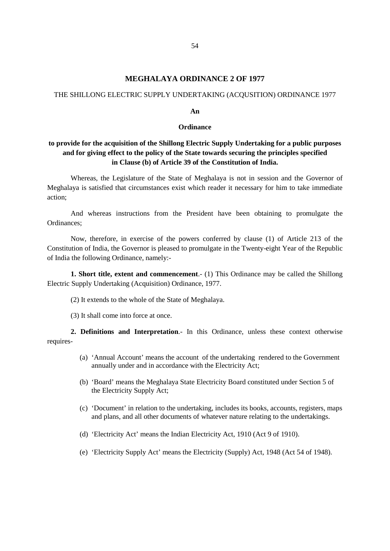#### **MEGHALAYA ORDINANCE 2 OF 1977**

#### THE SHILLONG ELECTRIC SUPPLY UNDERTAKING (ACQUSITION) ORDINANCE 1977

#### **An**

#### **Ordinance**

#### **to provide for the acquisition of the Shillong Electric Supply Undertaking for a public purposes and for giving effect to the policy of the State towards securing the principles specified in Clause (b) of Article 39 of the Constitution of India.**

Whereas, the Legislature of the State of Meghalaya is not in session and the Governor of Meghalaya is satisfied that circumstances exist which reader it necessary for him to take immediate action;

And whereas instructions from the President have been obtaining to promulgate the Ordinances;

Now, therefore, in exercise of the powers conferred by clause (1) of Article 213 of the Constitution of India, the Governor is pleased to promulgate in the Twenty-eight Year of the Republic of India the following Ordinance, namely:-

**1. Short title, extent and commencement**.- (1) This Ordinance may be called the Shillong Electric Supply Undertaking (Acquisition) Ordinance, 1977.

(2) It extends to the whole of the State of Meghalaya.

(3) It shall come into force at once.

**2. Definitions and Interpretation**.- In this Ordinance, unless these context otherwise requires-

- (a) 'Annual Account' means the account of the undertaking rendered to the Government annually under and in accordance with the Electricity Act;
- (b) 'Board' means the Meghalaya State Electricity Board constituted under Section 5 of the Electricity Supply Act;
- (c) 'Document' in relation to the undertaking, includes its books, accounts, registers, maps and plans, and all other documents of whatever nature relating to the undertakings.
- (d) 'Electricity Act' means the Indian Electricity Act, 1910 (Act 9 of 1910).
- (e) 'Electricity Supply Act' means the Electricity (Supply) Act, 1948 (Act 54 of 1948).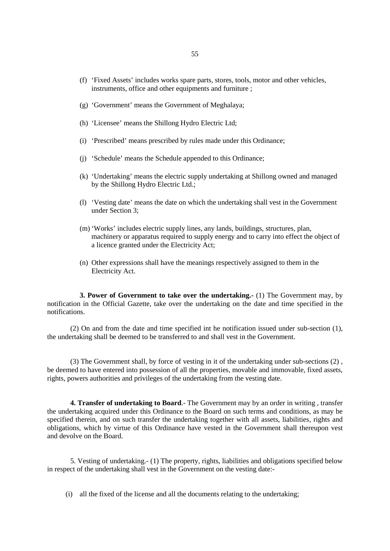- (f) 'Fixed Assets' includes works spare parts, stores, tools, motor and other vehicles, instruments, office and other equipments and furniture ;
- (g) 'Government' means the Government of Meghalaya;
- (h) 'Licensee' means the Shillong Hydro Electric Ltd;
- (i) 'Prescribed' means prescribed by rules made under this Ordinance;
- (j) 'Schedule' means the Schedule appended to this Ordinance;
- (k) 'Undertaking' means the electric supply undertaking at Shillong owned and managed by the Shillong Hydro Electric Ltd.;
- (l) 'Vesting date' means the date on which the undertaking shall vest in the Government under Section 3;
- (m) 'Works' includes electric supply lines, any lands, buildings, structures, plan, machinery or apparatus required to supply energy and to carry into effect the object of a licence granted under the Electricity Act;
- (n) Other expressions shall have the meanings respectively assigned to them in the Electricity Act.

**3. Power of Government to take over the undertaking.-** (1) The Government may, by notification in the Official Gazette, take over the undertaking on the date and time specified in the notifications.

(2) On and from the date and time specified int he notification issued under sub-section (1), the undertaking shall be deemed to be transferred to and shall vest in the Government.

(3) The Government shall, by force of vesting in it of the undertaking under sub-sections (2) , be deemed to have entered into possession of all the properties, movable and immovable, fixed assets, rights, powers authorities and privileges of the undertaking from the vesting date.

**4. Transfer of undertaking to Board**.- The Government may by an order in writing , transfer the undertaking acquired under this Ordinance to the Board on such terms and conditions, as may be specified therein, and on such transfer the undertaking together with all assets, liabilities, rights and obligations, which by virtue of this Ordinance have vested in the Government shall thereupon vest and devolve on the Board.

5. Vesting of undertaking.- (1) The property, rights, liabilities and obligations specified below in respect of the undertaking shall vest in the Government on the vesting date:-

(i) all the fixed of the license and all the documents relating to the undertaking;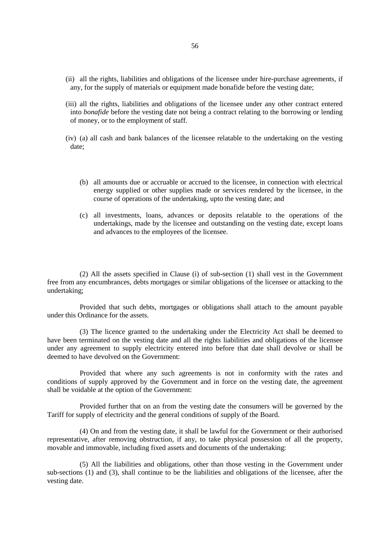- (ii) all the rights, liabilities and obligations of the licensee under hire-purchase agreements, if any, for the supply of materials or equipment made bonafide before the vesting date;
- (iii) all the rights, liabilities and obligations of the licensee under any other contract entered into *bonafide* before the vesting date not being a contract relating to the borrowing or lending of money, or to the employment of staff.
- (iv) (a) all cash and bank balances of the licensee relatable to the undertaking on the vesting date;
	- (b) all amounts due or accruable or accrued to the licensee, in connection with electrical energy supplied or other supplies made or services rendered by the licensee, in the course of operations of the undertaking, upto the vesting date; and
	- (c) all investments, loans, advances or deposits relatable to the operations of the undertakings, made by the licensee and outstanding on the vesting date, except loans and advances to the employees of the licensee.

(2) All the assets specified in Clause (i) of sub-section (1) shall vest in the Government free from any encumbrances, debts mortgages or similar obligations of the licensee or attacking to the undertaking;

Provided that such debts, mortgages or obligations shall attach to the amount payable under this Ordinance for the assets.

(3) The licence granted to the undertaking under the Electricity Act shall be deemed to have been terminated on the vesting date and all the rights liabilities and obligations of the licensee under any agreement to supply electricity entered into before that date shall devolve or shall be deemed to have devolved on the Government:

Provided that where any such agreements is not in conformity with the rates and conditions of supply approved by the Government and in force on the vesting date, the agreement shall be voidable at the option of the Government:

Provided further that on an from the vesting date the consumers will be governed by the Tariff for supply of electricity and the general conditions of supply of the Board.

(4) On and from the vesting date, it shall be lawful for the Government or their authorised representative, after removing obstruction, if any, to take physical possession of all the property, movable and immovable, including fixed assets and documents of the undertaking:

(5) All the liabilities and obligations, other than those vesting in the Government under sub-sections (1) and (3), shall continue to be the liabilities and obligations of the licensee, after the vesting date.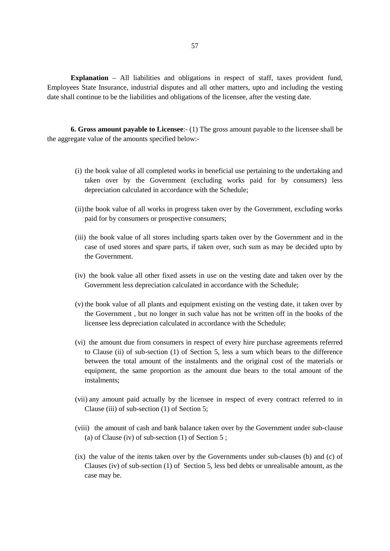**Explanation** – All liabilities and obligations in respect of staff, taxes provident fund, Employees State Insurance, industrial disputes and all other matters, upto and including the vesting date shall continue to be the liabilities and obligations of the licensee, after the vesting date.

**6. Gross amount payable to Licensee**:- (1) The gross amount payable to the licensee shall be the aggregate value of the amounts specified below:-

- (i) the book value of all completed works in beneficial use pertaining to the undertaking and taken over by the Government (excluding works paid for by consumers) less depreciation calculated in accordance with the Schedule;
- (ii)the book value of all works in progress taken over by the Government, excluding works paid for by consumers or prospective consumers;
- (iii) the book value of all stores including sparts taken over by the Government and in the case of used stores and spare parts, if taken over, such sum as may be decided upto by the Government.
- (iv) the book value all other fixed assets in use on the vesting date and taken over by the Government less depreciation calculated in accordance with the Schedule;
- (v) the book value of all plants and equipment existing on the vesting date, it taken over by the Government , but no longer in such value has not be written off in the books of the licensee less depreciation calculated in accordance with the Schedule;
- (vi) the amount due from consumers in respect of every hire purchase agreements referred to Clause (ii) of sub-section (1) of Section 5, less a sum which bears to the difference between the total amount of the instalments and the original cost of the materials or equipment, the same proportion as the amount due bears to the total amount of the instalments;
- (vii) any amount paid actually by the licensee in respect of every contract referred to in Clause (iii) of sub-section (1) of Section 5;
- (viii) the amount of cash and bank balance taken over by the Government under sub-clause (a) of Clause (iv) of sub-section (1) of Section 5 ;
- (ix) the value of the items taken over by the Governments under sub-clauses (b) and (c) of Clauses (iv) of sub-section (1) of Section 5, less bed debts or unrealisable amount, as the case may be.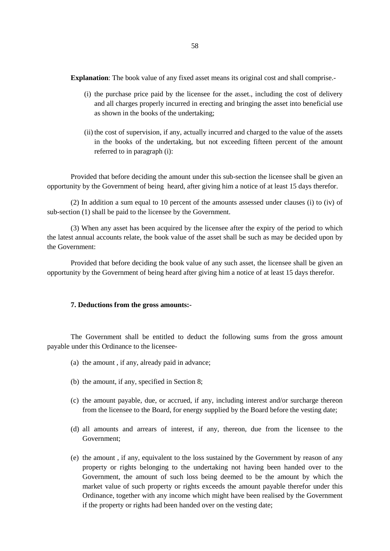**Explanation**: The book value of any fixed asset means its original cost and shall comprise.

- (i) the purchase price paid by the licensee for the asset., including the cost of delivery and all charges properly incurred in erecting and bringing the asset into beneficial use as shown in the books of the undertaking;
- (ii) the cost of supervision, if any, actually incurred and charged to the value of the assets in the books of the undertaking, but not exceeding fifteen percent of the amount referred to in paragraph (i):

Provided that before deciding the amount under this sub-section the licensee shall be given an opportunity by the Government of being heard, after giving him a notice of at least 15 days therefor.

(2) In addition a sum equal to 10 percent of the amounts assessed under clauses (i) to (iv) of sub-section (1) shall be paid to the licensee by the Government.

(3) When any asset has been acquired by the licensee after the expiry of the period to which the latest annual accounts relate, the book value of the asset shall be such as may be decided upon by the Government:

Provided that before deciding the book value of any such asset, the licensee shall be given an opportunity by the Government of being heard after giving him a notice of at least 15 days therefor.

#### **7. Deductions from the gross amounts:-**

The Government shall be entitled to deduct the following sums from the gross amount payable under this Ordinance to the licensee-

- (a) the amount , if any, already paid in advance;
- (b) the amount, if any, specified in Section 8;
- (c) the amount payable, due, or accrued, if any, including interest and/or surcharge thereon from the licensee to the Board, for energy supplied by the Board before the vesting date;
- (d) all amounts and arrears of interest, if any, thereon, due from the licensee to the Government;
- (e) the amount , if any, equivalent to the loss sustained by the Government by reason of any property or rights belonging to the undertaking not having been handed over to the Government, the amount of such loss being deemed to be the amount by which the market value of such property or rights exceeds the amount payable therefor under this Ordinance, together with any income which might have been realised by the Government if the property or rights had been handed over on the vesting date;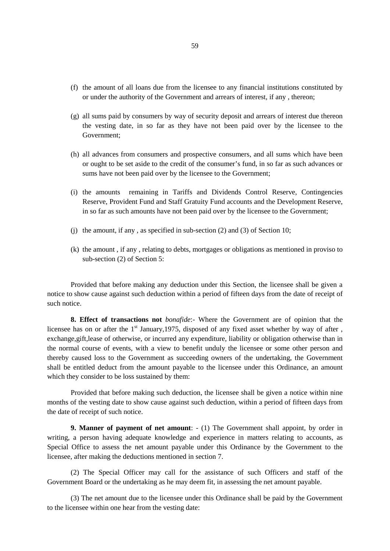- (f) the amount of all loans due from the licensee to any financial institutions constituted by or under the authority of the Government and arrears of interest, if any , thereon;
- (g) all sums paid by consumers by way of security deposit and arrears of interest due thereon the vesting date, in so far as they have not been paid over by the licensee to the Government;
- (h) all advances from consumers and prospective consumers, and all sums which have been or ought to be set aside to the credit of the consumer's fund, in so far as such advances or sums have not been paid over by the licensee to the Government;
- (i) the amounts remaining in Tariffs and Dividends Control Reserve, Contingencies Reserve, Provident Fund and Staff Gratuity Fund accounts and the Development Reserve, in so far as such amounts have not been paid over by the licensee to the Government;
- (j) the amount, if any , as specified in sub-section (2) and (3) of Section 10;
- (k) the amount , if any , relating to debts, mortgages or obligations as mentioned in proviso to sub-section (2) of Section 5:

Provided that before making any deduction under this Section, the licensee shall be given a notice to show cause against such deduction within a period of fifteen days from the date of receipt of such notice.

**8. Effect of transactions not** *bonafide*:- Where the Government are of opinion that the licensee has on or after the  $1<sup>st</sup>$  January,1975, disposed of any fixed asset whether by way of after, exchange,gift,lease of otherwise, or incurred any expenditure, liability or obligation otherwise than in the normal course of events, with a view to benefit unduly the licensee or some other person and thereby caused loss to the Government as succeeding owners of the undertaking, the Government shall be entitled deduct from the amount payable to the licensee under this Ordinance, an amount which they consider to be loss sustained by them:

Provided that before making such deduction, the licensee shall be given a notice within nine months of the vesting date to show cause against such deduction, within a period of fifteen days from the date of receipt of such notice.

**9. Manner of payment of net amount**: - (1) The Government shall appoint, by order in writing, a person having adequate knowledge and experience in matters relating to accounts, as Special Office to assess the net amount payable under this Ordinance by the Government to the licensee, after making the deductions mentioned in section 7.

(2) The Special Officer may call for the assistance of such Officers and staff of the Government Board or the undertaking as he may deem fit, in assessing the net amount payable.

(3) The net amount due to the licensee under this Ordinance shall be paid by the Government to the licensee within one hear from the vesting date: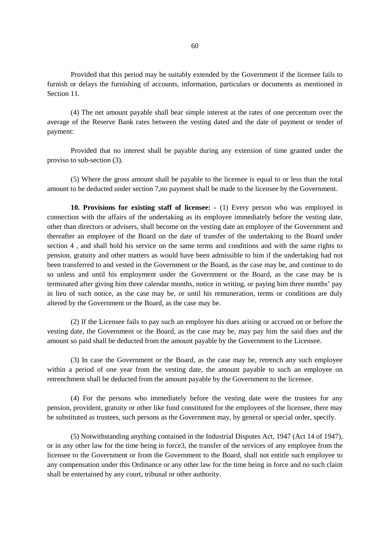Provided that this period may be suitably extended by the Government if the licensee fails to furnish or delays the furnishing of accounts, information, particulars or documents as mentioned in Section 11.

(4) The net amount payable shall bear simple interest at the rates of one percentum over the average of the Reserve Bank rates between the vesting dated and the date of payment or tender of payment:

Provided that no interest shall be payable during any extension of time granted under the proviso to sub-section (3).

(5) Where the gross amount shall be payable to the licensee is equal to or less than the total amount to be deducted under section 7,no payment shall be made to the licensee by the Government.

**10. Provisions for existing staff of licensee: -** (1) Every person who was employed in connection with the affairs of the undertaking as its employee immediately before the vesting date, other than directors or advisers, shall become on the vesting date an employee of the Government and thereafter an employee of the Board on the date of transfer of the undertaking to the Board under section 4 , and shall hold his service on the same terms and conditions and with the same rights to pension, gratuity and other matters as would have been admissible to him if the undertaking had not been transferred to and vested in the Government or the Board, as the case may be, and continue to do so unless and until his employment under the Government or the Board, as the case may be is terminated after giving him three calendar months, notice in writing, or paying him three months' pay in lieu of such notice, as the case may be, or until his remuneration, terms or conditions are duly altered by the Government or the Board, as the case may be.

(2) If the Licensee fails to pay such an employee his dues arising or accrued on or before the vesting date, the Government or the Board, as the case may be, may pay him the said dues and the amount so paid shall be deducted from the amount payable by the Government to the Licensee.

(3) In case the Government or the Board, as the case may be, retrench any such employee within a period of one year from the vesting date, the amount payable to such an employee on retrenchment shall be deducted from the amount payable by the Government to the licensee.

(4) For the persons who immediately before the vesting date were the trustees for any pension, provident, gratuity or other like fund constituted for the employees of the licensee, there may be substituted as trustees, such persons as the Government may, by general or special order, specify.

(5) Notwithstanding anything contained in the Industrial Disputes Act, 1947 (Act 14 of 1947), or in any other law for the time being in force3, the transfer of the services of any employee from the licensee to the Government or from the Government to the Board, shall not entitle such employee to any compensation under this Ordinance or any other law for the time being in force and no such claim shall be entertained by any court, tribunal or other authority.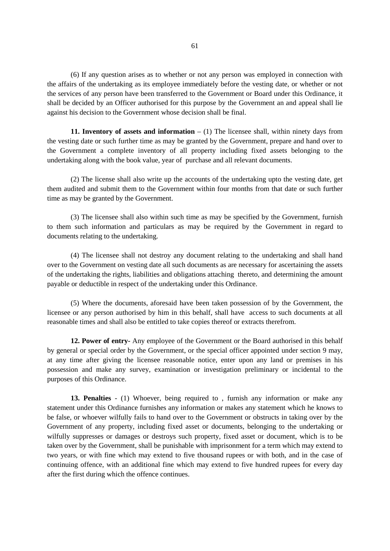(6) If any question arises as to whether or not any person was employed in connection with the affairs of the undertaking as its employee immediately before the vesting date, or whether or not the services of any person have been transferred to the Government or Board under this Ordinance, it shall be decided by an Officer authorised for this purpose by the Government an and appeal shall lie against his decision to the Government whose decision shall be final.

**11. Inventory of assets and information** – (1) The licensee shall, within ninety days from the vesting date or such further time as may be granted by the Government, prepare and hand over to the Government a complete inventory of all property including fixed assets belonging to the undertaking along with the book value, year of purchase and all relevant documents.

(2) The license shall also write up the accounts of the undertaking upto the vesting date, get them audited and submit them to the Government within four months from that date or such further time as may be granted by the Government.

(3) The licensee shall also within such time as may be specified by the Government, furnish to them such information and particulars as may be required by the Government in regard to documents relating to the undertaking.

(4) The licensee shall not destroy any document relating to the undertaking and shall hand over to the Government on vesting date all such documents as are necessary for ascertaining the assets of the undertaking the rights, liabilities and obligations attaching thereto, and determining the amount payable or deductible in respect of the undertaking under this Ordinance.

(5) Where the documents, aforesaid have been taken possession of by the Government, the licensee or any person authorised by him in this behalf, shall have access to such documents at all reasonable times and shall also be entitled to take copies thereof or extracts therefrom.

**12. Power of entry-** Any employee of the Government or the Board authorised in this behalf by general or special order by the Government, or the special officer appointed under section 9 may, at any time after giving the licensee reasonable notice, enter upon any land or premises in his possession and make any survey, examination or investigation preliminary or incidental to the purposes of this Ordinance.

**13. Penalties** - (1) Whoever, being required to , furnish any information or make any statement under this Ordinance furnishes any information or makes any statement which he knows to be false, or whoever wilfully fails to hand over to the Government or obstructs in taking over by the Government of any property, including fixed asset or documents, belonging to the undertaking or wilfully suppresses or damages or destroys such property, fixed asset or document, which is to be taken over by the Government, shall be punishable with imprisonment for a term which may extend to two years, or with fine which may extend to five thousand rupees or with both, and in the case of continuing offence, with an additional fine which may extend to five hundred rupees for every day after the first during which the offence continues.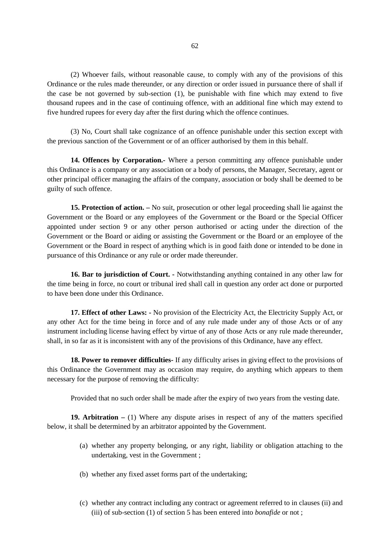(2) Whoever fails, without reasonable cause, to comply with any of the provisions of this Ordinance or the rules made thereunder, or any direction or order issued in pursuance there of shall if the case be not governed by sub-section (1), be punishable with fine which may extend to five thousand rupees and in the case of continuing offence, with an additional fine which may extend to five hundred rupees for every day after the first during which the offence continues.

(3) No, Court shall take cognizance of an offence punishable under this section except with the previous sanction of the Government or of an officer authorised by them in this behalf.

**14. Offences by Corporation.-** Where a person committing any offence punishable under this Ordinance is a company or any association or a body of persons, the Manager, Secretary, agent or other principal officer managing the affairs of the company, association or body shall be deemed to be guilty of such offence.

**15. Protection of action. –** No suit, prosecution or other legal proceeding shall lie against the Government or the Board or any employees of the Government or the Board or the Special Officer appointed under section 9 or any other person authorised or acting under the direction of the Government or the Board or aiding or assisting the Government or the Board or an employee of the Government or the Board in respect of anything which is in good faith done or intended to be done in pursuance of this Ordinance or any rule or order made thereunder.

**16. Bar to jurisdiction of Court. -** Notwithstanding anything contained in any other law for the time being in force, no court or tribunal ired shall call in question any order act done or purported to have been done under this Ordinance.

**17. Effect of other Laws: -** No provision of the Electricity Act, the Electricity Supply Act, or any other Act for the time being in force and of any rule made under any of those Acts or of any instrument including license having effect by virtue of any of those Acts or any rule made thereunder, shall, in so far as it is inconsistent with any of the provisions of this Ordinance, have any effect.

**18. Power to remover difficulties-** If any difficulty arises in giving effect to the provisions of this Ordinance the Government may as occasion may require, do anything which appears to them necessary for the purpose of removing the difficulty:

Provided that no such order shall be made after the expiry of two years from the vesting date.

**19. Arbitration –** (1) Where any dispute arises in respect of any of the matters specified below, it shall be determined by an arbitrator appointed by the Government.

- (a) whether any property belonging, or any right, liability or obligation attaching to the undertaking, vest in the Government ;
- (b) whether any fixed asset forms part of the undertaking;
- (c) whether any contract including any contract or agreement referred to in clauses (ii) and (iii) of sub-section (1) of section 5 has been entered into *bonafide* or not ;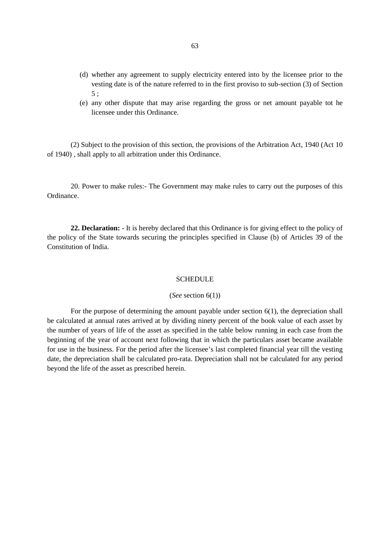- (d) whether any agreement to supply electricity entered into by the licensee prior to the vesting date is of the nature referred to in the first proviso to sub-section (3) of Section 5 ;
- (e) any other dispute that may arise regarding the gross or net amount payable tot he licensee under this Ordinance.

(2) Subject to the provision of this section, the provisions of the Arbitration Act, 1940 (Act 10 of 1940) , shall apply to all arbitration under this Ordinance.

20. Power to make rules:- The Government may make rules to carry out the purposes of this Ordinance.

**22. Declaration: -** It is hereby declared that this Ordinance is for giving effect to the policy of the policy of the State towards securing the principles specified in Clause (b) of Articles 39 of the Constitution of India.

#### **SCHEDULE**

#### (*See* section 6(1))

For the purpose of determining the amount payable under section 6(1), the depreciation shall be calculated at annual rates arrived at by dividing ninety percent of the book value of each asset by the number of years of life of the asset as specified in the table below running in each case from the beginning of the year of account next following that in which the particulars asset became available for use in the business. For the period after the licensee's last completed financial year till the vesting date, the depreciation shall be calculated pro-rata. Depreciation shall not be calculated for any period beyond the life of the asset as prescribed herein.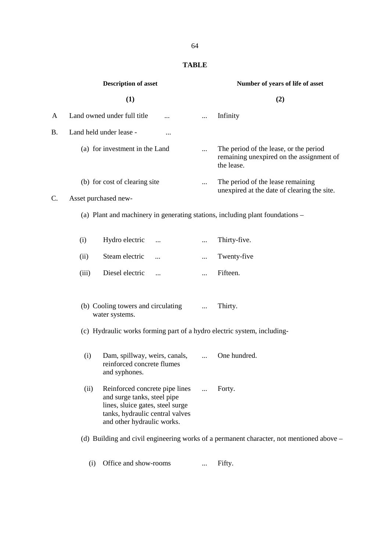# **TABLE**

|           |       | <b>Description of asset</b>                                                                                                                                        |            | Number of years of life of asset                                                                 |  |  |  |  |
|-----------|-------|--------------------------------------------------------------------------------------------------------------------------------------------------------------------|------------|--------------------------------------------------------------------------------------------------|--|--|--|--|
|           |       | (1)                                                                                                                                                                |            | (2)                                                                                              |  |  |  |  |
| A         |       | Land owned under full title<br>$\cdots$                                                                                                                            |            | Infinity                                                                                         |  |  |  |  |
| <b>B.</b> |       | Land held under lease -<br>                                                                                                                                        |            |                                                                                                  |  |  |  |  |
|           |       | (a) for investment in the Land                                                                                                                                     | $\cdots$   | The period of the lease, or the period<br>remaining unexpired on the assignment of<br>the lease. |  |  |  |  |
|           |       | (b) for cost of clearing site                                                                                                                                      |            | The period of the lease remaining<br>unexpired at the date of clearing the site.                 |  |  |  |  |
| C.        |       | Asset purchased new-                                                                                                                                               |            |                                                                                                  |  |  |  |  |
|           |       |                                                                                                                                                                    |            | (a) Plant and machinery in generating stations, including plant foundations –                    |  |  |  |  |
|           | (i)   | Hydro electric<br>                                                                                                                                                 | $\cdots$   | Thirty-five.                                                                                     |  |  |  |  |
|           | (ii)  | Steam electric<br>$\ddotsc$                                                                                                                                        | $\cdots$   | Twenty-five                                                                                      |  |  |  |  |
|           | (iii) | Diesel electric<br>$\cdots$                                                                                                                                        |            | Fifteen.                                                                                         |  |  |  |  |
|           |       | (b) Cooling towers and circulating<br>water systems.                                                                                                               |            | Thirty.                                                                                          |  |  |  |  |
|           |       | (c) Hydraulic works forming part of a hydro electric system, including-                                                                                            |            |                                                                                                  |  |  |  |  |
|           | (i)   | Dam, spillway, weirs, canals,<br>reinforced concrete flumes<br>and syphones.                                                                                       | $\cdots$   | One hundred.                                                                                     |  |  |  |  |
|           | (ii)  | Reinforced concrete pipe lines<br>and surge tanks, steel pipe<br>lines, sluice gates, steel surge<br>tanks, hydraulic central valves<br>and other hydraulic works. | $\dddotsc$ | Forty.                                                                                           |  |  |  |  |
|           |       |                                                                                                                                                                    |            | (d) Building and civil engineering works of a permanent character, not mentioned above –         |  |  |  |  |
|           |       |                                                                                                                                                                    |            |                                                                                                  |  |  |  |  |

(i) Office and show-rooms ... Fifty.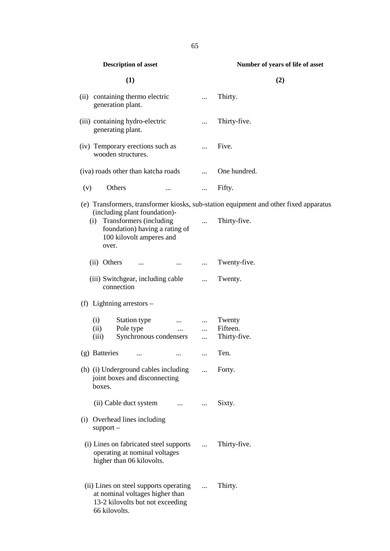|     |               | Description of asset                                                                                                   |                                                                                     |                       | value of years of the of asset                                                        |
|-----|---------------|------------------------------------------------------------------------------------------------------------------------|-------------------------------------------------------------------------------------|-----------------------|---------------------------------------------------------------------------------------|
|     |               | (1)                                                                                                                    |                                                                                     |                       | (2)                                                                                   |
|     |               | (ii) containing thermo electric<br>generation plant.                                                                   |                                                                                     | $\cdots$              | Thirty.                                                                               |
|     |               | (iii) containing hydro-electric<br>generating plant.                                                                   |                                                                                     |                       | Thirty-five.                                                                          |
|     |               | (iv) Temporary erections such as<br>wooden structures.                                                                 |                                                                                     |                       | Five.                                                                                 |
|     |               | (iva) roads other than katcha roads                                                                                    |                                                                                     | $\dddot{\phantom{0}}$ | One hundred.                                                                          |
| (v) |               | Others                                                                                                                 |                                                                                     | $\cdots$              | Fifty.                                                                                |
|     |               |                                                                                                                        |                                                                                     |                       | (e) Transformers, transformer kiosks, sub-station equipment and other fixed apparatus |
|     | (i)<br>over.  | (including plant foundation)-<br>Transformers (including<br>foundation) having a rating of<br>100 kilovolt amperes and |                                                                                     | $\cdots$              | Thirty-five.                                                                          |
|     | (ii) Others   | $\cdots$                                                                                                               | <b>ALCOHOL:</b>                                                                     | $\cdots$              | Twenty-five.                                                                          |
|     |               | (iii) Switchgear, including cable<br>connection                                                                        |                                                                                     | $\cdots$              | Twenty.                                                                               |
|     |               | (f) Lightning arrestors $-$                                                                                            |                                                                                     |                       |                                                                                       |
|     | (i)           | Station type                                                                                                           | $\mathcal{L}^{\text{max}}_{\text{max}}$ and $\mathcal{L}^{\text{max}}_{\text{max}}$ | $\cdots$              | Twenty                                                                                |
|     | (ii)          | Pole type                                                                                                              | $\cdots$                                                                            | $\cdots$              | Fifteen.                                                                              |
|     | (iii)         | Synchronous condensers                                                                                                 |                                                                                     | $\cdots$              | Thirty-five.                                                                          |
|     | (g) Batteries | $\cdots$                                                                                                               | $\ldots$                                                                            | $\cdots$              | Ten.                                                                                  |
|     | boxes.        | (h) (i) Underground cables including<br>joint boxes and disconnecting                                                  |                                                                                     |                       | Forty.                                                                                |
|     |               | (ii) Cable duct system                                                                                                 | $\cdots$                                                                            | $\cdots$              | Sixty.                                                                                |
| (i) | $support -$   | Overhead lines including                                                                                               |                                                                                     |                       |                                                                                       |
|     |               | (i) Lines on fabricated steel supports<br>operating at nominal voltages<br>higher than 06 kilovolts.                   |                                                                                     | $\cdots$              | Thirty-five.                                                                          |
|     | 66 kilovolts. | (ii) Lines on steel supports operating<br>at nominal voltages higher than<br>13-2 kilovolts but not exceeding          |                                                                                     | $\cdots$              | Thirty.                                                                               |

#### **Description of asset Number of years of life of asset**